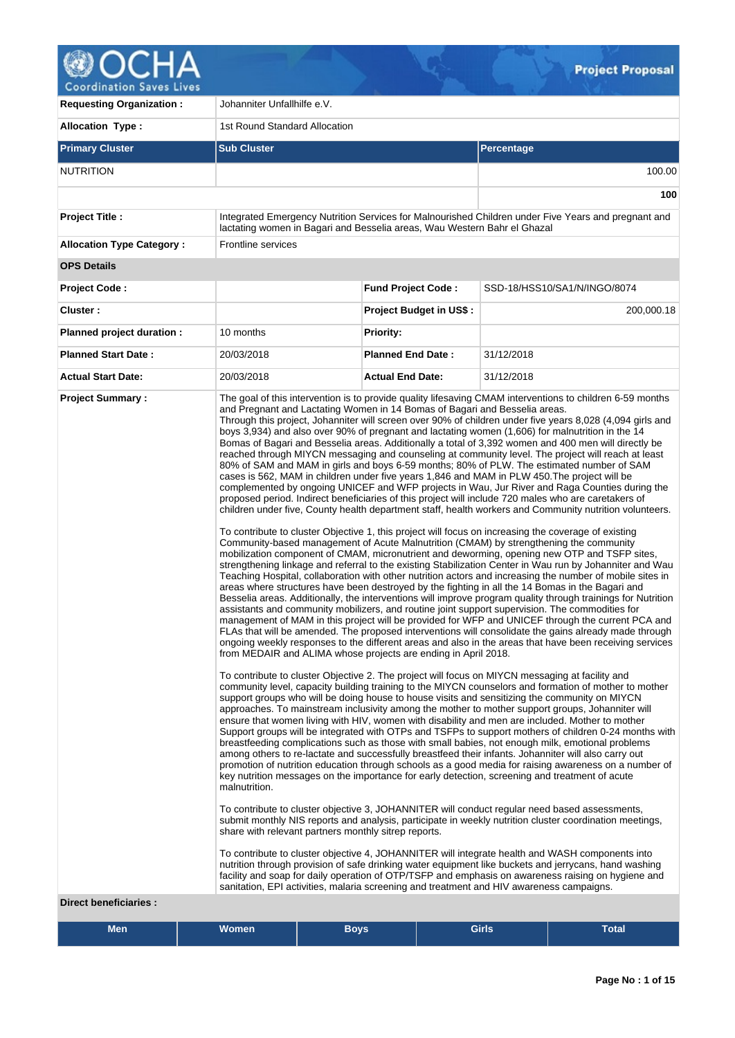

| <b>Allocation Type:</b>                                 | 1st Round Standard Allocation<br><b>Sub Cluster</b>                                                                                                                                                                                                                                                               |                                |                                                                                                                                                                                                                                                                                                                                                                                                                                                                                                                                                                                                                                                                                                                                                                                                                                                                                                                                                                                                                                                                                                                                                                                                                                                                                                                                                                                                                                                                                                                                                                                                                                                                                                                                                                                                                                                                                                                                                                                                                                                                                                                                                                                                                                                                                                                                                                                                                                                                                                                                                                                                                                                                                                                                                                                                                                                                                                                                                                                                                                                                                                                                                                                                                                                                                                                                                                                                                                                                                                                                                                                                                                                                                                                                                                                                                         |
|---------------------------------------------------------|-------------------------------------------------------------------------------------------------------------------------------------------------------------------------------------------------------------------------------------------------------------------------------------------------------------------|--------------------------------|-------------------------------------------------------------------------------------------------------------------------------------------------------------------------------------------------------------------------------------------------------------------------------------------------------------------------------------------------------------------------------------------------------------------------------------------------------------------------------------------------------------------------------------------------------------------------------------------------------------------------------------------------------------------------------------------------------------------------------------------------------------------------------------------------------------------------------------------------------------------------------------------------------------------------------------------------------------------------------------------------------------------------------------------------------------------------------------------------------------------------------------------------------------------------------------------------------------------------------------------------------------------------------------------------------------------------------------------------------------------------------------------------------------------------------------------------------------------------------------------------------------------------------------------------------------------------------------------------------------------------------------------------------------------------------------------------------------------------------------------------------------------------------------------------------------------------------------------------------------------------------------------------------------------------------------------------------------------------------------------------------------------------------------------------------------------------------------------------------------------------------------------------------------------------------------------------------------------------------------------------------------------------------------------------------------------------------------------------------------------------------------------------------------------------------------------------------------------------------------------------------------------------------------------------------------------------------------------------------------------------------------------------------------------------------------------------------------------------------------------------------------------------------------------------------------------------------------------------------------------------------------------------------------------------------------------------------------------------------------------------------------------------------------------------------------------------------------------------------------------------------------------------------------------------------------------------------------------------------------------------------------------------------------------------------------------------------------------------------------------------------------------------------------------------------------------------------------------------------------------------------------------------------------------------------------------------------------------------------------------------------------------------------------------------------------------------------------------------------------------------------------------------------------------------------------------------|
|                                                         |                                                                                                                                                                                                                                                                                                                   |                                |                                                                                                                                                                                                                                                                                                                                                                                                                                                                                                                                                                                                                                                                                                                                                                                                                                                                                                                                                                                                                                                                                                                                                                                                                                                                                                                                                                                                                                                                                                                                                                                                                                                                                                                                                                                                                                                                                                                                                                                                                                                                                                                                                                                                                                                                                                                                                                                                                                                                                                                                                                                                                                                                                                                                                                                                                                                                                                                                                                                                                                                                                                                                                                                                                                                                                                                                                                                                                                                                                                                                                                                                                                                                                                                                                                                                                         |
| <b>Primary Cluster</b>                                  |                                                                                                                                                                                                                                                                                                                   |                                | Percentage                                                                                                                                                                                                                                                                                                                                                                                                                                                                                                                                                                                                                                                                                                                                                                                                                                                                                                                                                                                                                                                                                                                                                                                                                                                                                                                                                                                                                                                                                                                                                                                                                                                                                                                                                                                                                                                                                                                                                                                                                                                                                                                                                                                                                                                                                                                                                                                                                                                                                                                                                                                                                                                                                                                                                                                                                                                                                                                                                                                                                                                                                                                                                                                                                                                                                                                                                                                                                                                                                                                                                                                                                                                                                                                                                                                                              |
| <b>NUTRITION</b>                                        |                                                                                                                                                                                                                                                                                                                   |                                | 100.00                                                                                                                                                                                                                                                                                                                                                                                                                                                                                                                                                                                                                                                                                                                                                                                                                                                                                                                                                                                                                                                                                                                                                                                                                                                                                                                                                                                                                                                                                                                                                                                                                                                                                                                                                                                                                                                                                                                                                                                                                                                                                                                                                                                                                                                                                                                                                                                                                                                                                                                                                                                                                                                                                                                                                                                                                                                                                                                                                                                                                                                                                                                                                                                                                                                                                                                                                                                                                                                                                                                                                                                                                                                                                                                                                                                                                  |
|                                                         |                                                                                                                                                                                                                                                                                                                   |                                | 100                                                                                                                                                                                                                                                                                                                                                                                                                                                                                                                                                                                                                                                                                                                                                                                                                                                                                                                                                                                                                                                                                                                                                                                                                                                                                                                                                                                                                                                                                                                                                                                                                                                                                                                                                                                                                                                                                                                                                                                                                                                                                                                                                                                                                                                                                                                                                                                                                                                                                                                                                                                                                                                                                                                                                                                                                                                                                                                                                                                                                                                                                                                                                                                                                                                                                                                                                                                                                                                                                                                                                                                                                                                                                                                                                                                                                     |
| <b>Project Title:</b>                                   | lactating women in Bagari and Besselia areas, Wau Western Bahr el Ghazal                                                                                                                                                                                                                                          |                                | Integrated Emergency Nutrition Services for Malnourished Children under Five Years and pregnant and                                                                                                                                                                                                                                                                                                                                                                                                                                                                                                                                                                                                                                                                                                                                                                                                                                                                                                                                                                                                                                                                                                                                                                                                                                                                                                                                                                                                                                                                                                                                                                                                                                                                                                                                                                                                                                                                                                                                                                                                                                                                                                                                                                                                                                                                                                                                                                                                                                                                                                                                                                                                                                                                                                                                                                                                                                                                                                                                                                                                                                                                                                                                                                                                                                                                                                                                                                                                                                                                                                                                                                                                                                                                                                                     |
| <b>Allocation Type Category:</b>                        | Frontline services                                                                                                                                                                                                                                                                                                |                                |                                                                                                                                                                                                                                                                                                                                                                                                                                                                                                                                                                                                                                                                                                                                                                                                                                                                                                                                                                                                                                                                                                                                                                                                                                                                                                                                                                                                                                                                                                                                                                                                                                                                                                                                                                                                                                                                                                                                                                                                                                                                                                                                                                                                                                                                                                                                                                                                                                                                                                                                                                                                                                                                                                                                                                                                                                                                                                                                                                                                                                                                                                                                                                                                                                                                                                                                                                                                                                                                                                                                                                                                                                                                                                                                                                                                                         |
| <b>OPS Details</b>                                      |                                                                                                                                                                                                                                                                                                                   |                                |                                                                                                                                                                                                                                                                                                                                                                                                                                                                                                                                                                                                                                                                                                                                                                                                                                                                                                                                                                                                                                                                                                                                                                                                                                                                                                                                                                                                                                                                                                                                                                                                                                                                                                                                                                                                                                                                                                                                                                                                                                                                                                                                                                                                                                                                                                                                                                                                                                                                                                                                                                                                                                                                                                                                                                                                                                                                                                                                                                                                                                                                                                                                                                                                                                                                                                                                                                                                                                                                                                                                                                                                                                                                                                                                                                                                                         |
| <b>Project Code:</b>                                    |                                                                                                                                                                                                                                                                                                                   | <b>Fund Project Code:</b>      | SSD-18/HSS10/SA1/N/INGO/8074                                                                                                                                                                                                                                                                                                                                                                                                                                                                                                                                                                                                                                                                                                                                                                                                                                                                                                                                                                                                                                                                                                                                                                                                                                                                                                                                                                                                                                                                                                                                                                                                                                                                                                                                                                                                                                                                                                                                                                                                                                                                                                                                                                                                                                                                                                                                                                                                                                                                                                                                                                                                                                                                                                                                                                                                                                                                                                                                                                                                                                                                                                                                                                                                                                                                                                                                                                                                                                                                                                                                                                                                                                                                                                                                                                                            |
| Cluster:                                                |                                                                                                                                                                                                                                                                                                                   | <b>Project Budget in US\$:</b> | 200,000.18                                                                                                                                                                                                                                                                                                                                                                                                                                                                                                                                                                                                                                                                                                                                                                                                                                                                                                                                                                                                                                                                                                                                                                                                                                                                                                                                                                                                                                                                                                                                                                                                                                                                                                                                                                                                                                                                                                                                                                                                                                                                                                                                                                                                                                                                                                                                                                                                                                                                                                                                                                                                                                                                                                                                                                                                                                                                                                                                                                                                                                                                                                                                                                                                                                                                                                                                                                                                                                                                                                                                                                                                                                                                                                                                                                                                              |
| Planned project duration :                              | 10 months                                                                                                                                                                                                                                                                                                         | <b>Priority:</b>               |                                                                                                                                                                                                                                                                                                                                                                                                                                                                                                                                                                                                                                                                                                                                                                                                                                                                                                                                                                                                                                                                                                                                                                                                                                                                                                                                                                                                                                                                                                                                                                                                                                                                                                                                                                                                                                                                                                                                                                                                                                                                                                                                                                                                                                                                                                                                                                                                                                                                                                                                                                                                                                                                                                                                                                                                                                                                                                                                                                                                                                                                                                                                                                                                                                                                                                                                                                                                                                                                                                                                                                                                                                                                                                                                                                                                                         |
| <b>Planned Start Date:</b>                              | 20/03/2018                                                                                                                                                                                                                                                                                                        | <b>Planned End Date:</b>       | 31/12/2018                                                                                                                                                                                                                                                                                                                                                                                                                                                                                                                                                                                                                                                                                                                                                                                                                                                                                                                                                                                                                                                                                                                                                                                                                                                                                                                                                                                                                                                                                                                                                                                                                                                                                                                                                                                                                                                                                                                                                                                                                                                                                                                                                                                                                                                                                                                                                                                                                                                                                                                                                                                                                                                                                                                                                                                                                                                                                                                                                                                                                                                                                                                                                                                                                                                                                                                                                                                                                                                                                                                                                                                                                                                                                                                                                                                                              |
| <b>Actual Start Date:</b>                               | 20/03/2018                                                                                                                                                                                                                                                                                                        | <b>Actual End Date:</b>        | 31/12/2018                                                                                                                                                                                                                                                                                                                                                                                                                                                                                                                                                                                                                                                                                                                                                                                                                                                                                                                                                                                                                                                                                                                                                                                                                                                                                                                                                                                                                                                                                                                                                                                                                                                                                                                                                                                                                                                                                                                                                                                                                                                                                                                                                                                                                                                                                                                                                                                                                                                                                                                                                                                                                                                                                                                                                                                                                                                                                                                                                                                                                                                                                                                                                                                                                                                                                                                                                                                                                                                                                                                                                                                                                                                                                                                                                                                                              |
| <b>Project Summary:</b><br><b>Direct beneficiaries:</b> | and Pregnant and Lactating Women in 14 Bomas of Bagari and Besselia areas.<br>from MEDAIR and ALIMA whose projects are ending in April 2018.<br>malnutrition.<br>share with relevant partners monthly sitrep reports.<br>sanitation, EPI activities, malaria screening and treatment and HIV awareness campaigns. |                                | The goal of this intervention is to provide quality lifesaving CMAM interventions to children 6-59 months<br>Through this project, Johanniter will screen over 90% of children under five years 8,028 (4,094 girls and<br>boys 3,934) and also over 90% of pregnant and lactating women (1,606) for malnutrition in the 14<br>Bomas of Bagari and Besselia areas. Additionally a total of 3,392 women and 400 men will directly be<br>reached through MIYCN messaging and counseling at community level. The project will reach at least<br>80% of SAM and MAM in girls and boys 6-59 months; 80% of PLW. The estimated number of SAM<br>cases is 562, MAM in children under five years 1,846 and MAM in PLW 450. The project will be<br>complemented by ongoing UNICEF and WFP projects in Wau, Jur River and Raga Counties during the<br>proposed period. Indirect beneficiaries of this project will include 720 males who are caretakers of<br>children under five, County health department staff, health workers and Community nutrition volunteers.<br>To contribute to cluster Objective 1, this project will focus on increasing the coverage of existing<br>Community-based management of Acute Malnutrition (CMAM) by strengthening the community<br>mobilization component of CMAM, micronutrient and deworming, opening new OTP and TSFP sites,<br>strengthening linkage and referral to the existing Stabilization Center in Wau run by Johanniter and Wau<br>Teaching Hospital, collaboration with other nutrition actors and increasing the number of mobile sites in<br>areas where structures have been destroyed by the fighting in all the 14 Bomas in the Bagari and<br>Besselia areas. Additionally, the interventions will improve program quality through trainings for Nutrition<br>assistants and community mobilizers, and routine joint support supervision. The commodities for<br>management of MAM in this project will be provided for WFP and UNICEF through the current PCA and<br>FLAs that will be amended. The proposed interventions will consolidate the gains already made through<br>ongoing weekly responses to the different areas and also in the areas that have been receiving services<br>To contribute to cluster Objective 2. The project will focus on MIYCN messaging at facility and<br>community level, capacity building training to the MIYCN counselors and formation of mother to mother<br>support groups who will be doing house to house visits and sensitizing the community on MIYCN<br>approaches. To mainstream inclusivity among the mother to mother support groups, Johanniter will<br>ensure that women living with HIV, women with disability and men are included. Mother to mother<br>Support groups will be integrated with OTPs and TSFPs to support mothers of children 0-24 months with<br>breastfeeding complications such as those with small babies, not enough milk, emotional problems<br>among others to re-lactate and successfully breastfeed their infants. Johanniter will also carry out<br>promotion of nutrition education through schools as a good media for raising awareness on a number of<br>key nutrition messages on the importance for early detection, screening and treatment of acute<br>To contribute to cluster objective 3, JOHANNITER will conduct regular need based assessments,<br>submit monthly NIS reports and analysis, participate in weekly nutrition cluster coordination meetings,<br>To contribute to cluster objective 4, JOHANNITER will integrate health and WASH components into<br>nutrition through provision of safe drinking water equipment like buckets and jerrycans, hand washing<br>facility and soap for daily operation of OTP/TSFP and emphasis on awareness raising on hygiene and |

| <b>Men</b> | <b>Women</b> | <b>Boys</b> | <b>Girls</b> | <b>Total</b> |  |
|------------|--------------|-------------|--------------|--------------|--|
|------------|--------------|-------------|--------------|--------------|--|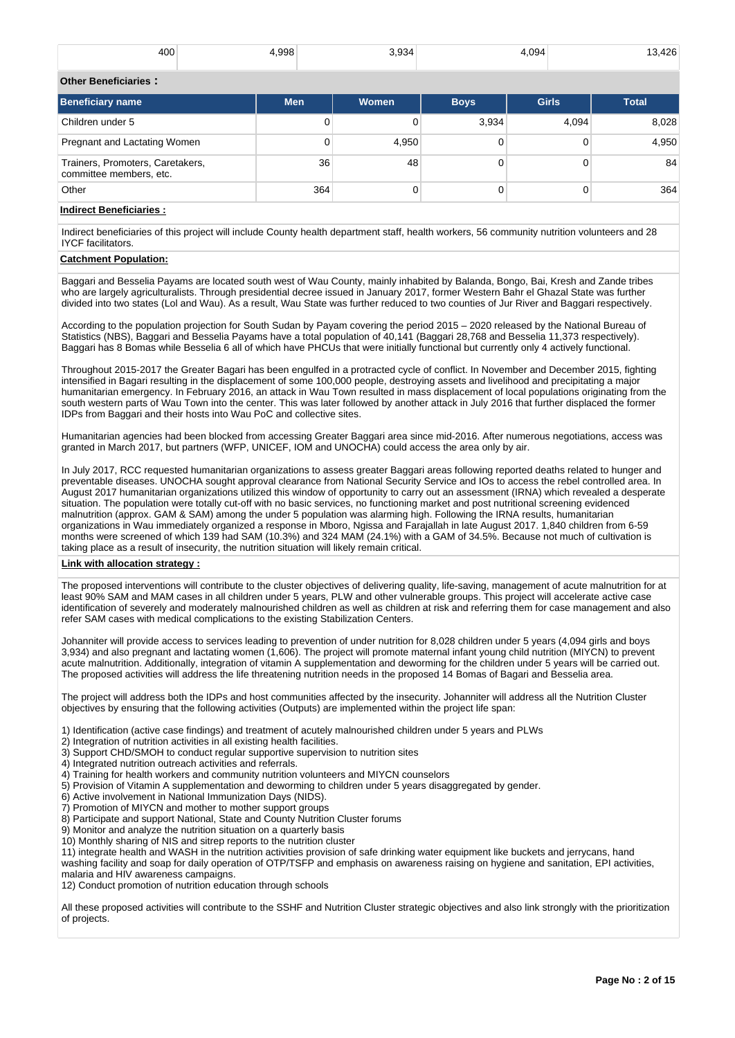| 400 | <b>QQR</b> | 0.001<br>34 | 1.094 | .26 <sub>1</sub> |
|-----|------------|-------------|-------|------------------|
|     |            |             |       |                  |

#### **Other Beneficiaries :**

| <b>Beneficiary name</b>                                     | <b>Men</b> | <b>Women</b> | <b>Boys</b> | <b>Girls</b> | <b>Total</b> |
|-------------------------------------------------------------|------------|--------------|-------------|--------------|--------------|
| Children under 5                                            |            |              | 3,934       | 4,094        | 8,028        |
| Pregnant and Lactating Women                                |            | 4,950        |             |              | 4,950        |
| Trainers, Promoters, Caretakers,<br>committee members, etc. | 36         | 48           |             |              | 84           |
| Other                                                       | 364        |              |             |              | 364          |

# **Indirect Beneficiaries :**

Indirect beneficiaries of this project will include County health department staff, health workers, 56 community nutrition volunteers and 28 IYCF facilitators.

#### **Catchment Population:**

Baggari and Besselia Payams are located south west of Wau County, mainly inhabited by Balanda, Bongo, Bai, Kresh and Zande tribes who are largely agriculturalists. Through presidential decree issued in January 2017, former Western Bahr el Ghazal State was further divided into two states (Lol and Wau). As a result, Wau State was further reduced to two counties of Jur River and Baggari respectively.

According to the population projection for South Sudan by Payam covering the period 2015 – 2020 released by the National Bureau of Statistics (NBS), Baggari and Besselia Payams have a total population of 40,141 (Baggari 28,768 and Besselia 11,373 respectively). Baggari has 8 Bomas while Besselia 6 all of which have PHCUs that were initially functional but currently only 4 actively functional.

Throughout 2015-2017 the Greater Bagari has been engulfed in a protracted cycle of conflict. In November and December 2015, fighting intensified in Bagari resulting in the displacement of some 100,000 people, destroying assets and livelihood and precipitating a major humanitarian emergency. In February 2016, an attack in Wau Town resulted in mass displacement of local populations originating from the south western parts of Wau Town into the center. This was later followed by another attack in July 2016 that further displaced the former IDPs from Baggari and their hosts into Wau PoC and collective sites.

Humanitarian agencies had been blocked from accessing Greater Baggari area since mid-2016. After numerous negotiations, access was granted in March 2017, but partners (WFP, UNICEF, IOM and UNOCHA) could access the area only by air.

In July 2017, RCC requested humanitarian organizations to assess greater Baggari areas following reported deaths related to hunger and preventable diseases. UNOCHA sought approval clearance from National Security Service and IOs to access the rebel controlled area. In August 2017 humanitarian organizations utilized this window of opportunity to carry out an assessment (IRNA) which revealed a desperate situation. The population were totally cut-off with no basic services, no functioning market and post nutritional screening evidenced malnutrition (approx. GAM & SAM) among the under 5 population was alarming high. Following the IRNA results, humanitarian organizations in Wau immediately organized a response in Mboro, Ngissa and Farajallah in late August 2017. 1,840 children from 6-59 months were screened of which 139 had SAM (10.3%) and 324 MAM (24.1%) with a GAM of 34.5%. Because not much of cultivation is taking place as a result of insecurity, the nutrition situation will likely remain critical.

# **Link with allocation strategy :**

The proposed interventions will contribute to the cluster objectives of delivering quality, life-saving, management of acute malnutrition for at least 90% SAM and MAM cases in all children under 5 years, PLW and other vulnerable groups. This project will accelerate active case identification of severely and moderately malnourished children as well as children at risk and referring them for case management and also refer SAM cases with medical complications to the existing Stabilization Centers.

Johanniter will provide access to services leading to prevention of under nutrition for 8,028 children under 5 years (4,094 girls and boys 3,934) and also pregnant and lactating women (1,606). The project will promote maternal infant young child nutrition (MIYCN) to prevent acute malnutrition. Additionally, integration of vitamin A supplementation and deworming for the children under 5 years will be carried out. The proposed activities will address the life threatening nutrition needs in the proposed 14 Bomas of Bagari and Besselia area.

The project will address both the IDPs and host communities affected by the insecurity. Johanniter will address all the Nutrition Cluster objectives by ensuring that the following activities (Outputs) are implemented within the project life span:

1) Identification (active case findings) and treatment of acutely malnourished children under 5 years and PLWs

- 2) Integration of nutrition activities in all existing health facilities. 3) Support CHD/SMOH to conduct regular supportive supervision to nutrition sites
- 4) Integrated nutrition outreach activities and referrals.
- 4) Training for health workers and community nutrition volunteers and MIYCN counselors
- 5) Provision of Vitamin A supplementation and deworming to children under 5 years disaggregated by gender.
- 6) Active involvement in National Immunization Days (NIDS).
- 7) Promotion of MIYCN and mother to mother support groups
- 8) Participate and support National, State and County Nutrition Cluster forums
- 9) Monitor and analyze the nutrition situation on a quarterly basis
- 10) Monthly sharing of NIS and sitrep reports to the nutrition cluster

11) integrate health and WASH in the nutrition activities provision of safe drinking water equipment like buckets and jerrycans, hand washing facility and soap for daily operation of OTP/TSFP and emphasis on awareness raising on hygiene and sanitation, EPI activities, malaria and HIV awareness campaigns.

12) Conduct promotion of nutrition education through schools

All these proposed activities will contribute to the SSHF and Nutrition Cluster strategic objectives and also link strongly with the prioritization of projects.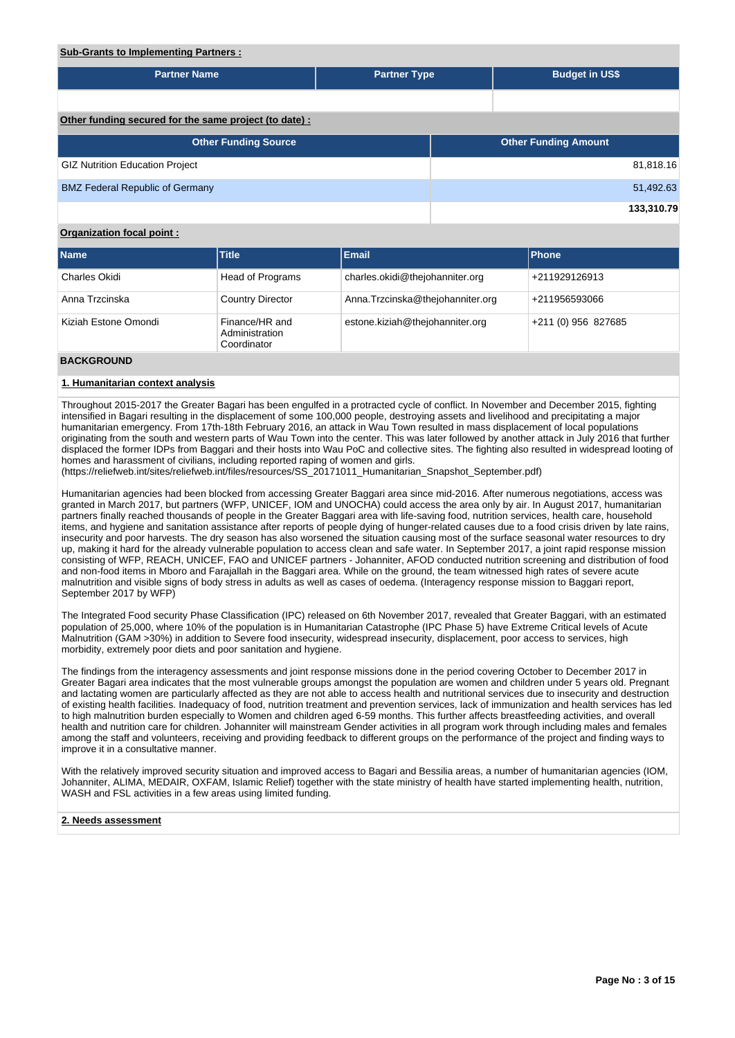# **Sub-Grants to Implementing Partners :**

| <b>Partner Name</b>                                   | <b>Partner Type</b> |  | <b>Budget in US\$</b>       |            |  |  |  |  |
|-------------------------------------------------------|---------------------|--|-----------------------------|------------|--|--|--|--|
|                                                       |                     |  |                             |            |  |  |  |  |
|                                                       |                     |  |                             |            |  |  |  |  |
| Other funding secured for the same project (to date): |                     |  |                             |            |  |  |  |  |
| <b>Other Funding Source</b>                           |                     |  | <b>Other Funding Amount</b> |            |  |  |  |  |
| <b>GIZ Nutrition Education Project</b>                |                     |  |                             | 81,818.16  |  |  |  |  |
| <b>BMZ Federal Republic of Germany</b>                |                     |  |                             | 51,492.63  |  |  |  |  |
|                                                       |                     |  |                             | 133,310.79 |  |  |  |  |

# **Organization focal point :**

| <b>Name</b>          | <b>Title</b>                                    | <b>Email</b>                     | Phone              |
|----------------------|-------------------------------------------------|----------------------------------|--------------------|
| Charles Okidi        | Head of Programs                                | charles.okidi@thejohanniter.org  | +211929126913      |
| Anna Trzcinska       | <b>Country Director</b>                         | Anna.Trzcinska@thejohanniter.org | +211956593066      |
| Kiziah Estone Omondi | Finance/HR and<br>Administration<br>Coordinator | estone.kiziah@thejohanniter.org  | $+211(0)956827685$ |
| <b>DACKCROUNID</b>   |                                                 |                                  |                    |

#### **BACKGROUND**

#### **1. Humanitarian context analysis**

Throughout 2015-2017 the Greater Bagari has been engulfed in a protracted cycle of conflict. In November and December 2015, fighting intensified in Bagari resulting in the displacement of some 100,000 people, destroying assets and livelihood and precipitating a major humanitarian emergency. From 17th-18th February 2016, an attack in Wau Town resulted in mass displacement of local populations originating from the south and western parts of Wau Town into the center. This was later followed by another attack in July 2016 that further displaced the former IDPs from Baggari and their hosts into Wau PoC and collective sites. The fighting also resulted in widespread looting of homes and harassment of civilians, including reported raping of women and girls.

(https://reliefweb.int/sites/reliefweb.int/files/resources/SS\_20171011\_Humanitarian\_Snapshot\_September.pdf)

Humanitarian agencies had been blocked from accessing Greater Baggari area since mid-2016. After numerous negotiations, access was granted in March 2017, but partners (WFP, UNICEF, IOM and UNOCHA) could access the area only by air. In August 2017, humanitarian partners finally reached thousands of people in the Greater Baggari area with life-saving food, nutrition services, health care, household items, and hygiene and sanitation assistance after reports of people dying of hunger-related causes due to a food crisis driven by late rains, insecurity and poor harvests. The dry season has also worsened the situation causing most of the surface seasonal water resources to dry up, making it hard for the already vulnerable population to access clean and safe water. In September 2017, a joint rapid response mission consisting of WFP, REACH, UNICEF, FAO and UNICEF partners - Johanniter, AFOD conducted nutrition screening and distribution of food and non-food items in Mboro and Farajallah in the Baggari area. While on the ground, the team witnessed high rates of severe acute malnutrition and visible signs of body stress in adults as well as cases of oedema. (Interagency response mission to Baggari report, September 2017 by WFP)

The Integrated Food security Phase Classification (IPC) released on 6th November 2017, revealed that Greater Baggari, with an estimated population of 25,000, where 10% of the population is in Humanitarian Catastrophe (IPC Phase 5) have Extreme Critical levels of Acute Malnutrition (GAM >30%) in addition to Severe food insecurity, widespread insecurity, displacement, poor access to services, high morbidity, extremely poor diets and poor sanitation and hygiene.

The findings from the interagency assessments and joint response missions done in the period covering October to December 2017 in Greater Bagari area indicates that the most vulnerable groups amongst the population are women and children under 5 years old. Pregnant and lactating women are particularly affected as they are not able to access health and nutritional services due to insecurity and destruction of existing health facilities. Inadequacy of food, nutrition treatment and prevention services, lack of immunization and health services has led to high malnutrition burden especially to Women and children aged 6-59 months. This further affects breastfeeding activities, and overall health and nutrition care for children. Johanniter will mainstream Gender activities in all program work through including males and females among the staff and volunteers, receiving and providing feedback to different groups on the performance of the project and finding ways to improve it in a consultative manner.

With the relatively improved security situation and improved access to Bagari and Bessilia areas, a number of humanitarian agencies (IOM, Johanniter, ALIMA, MEDAIR, OXFAM, Islamic Relief) together with the state ministry of health have started implementing health, nutrition, WASH and FSL activities in a few areas using limited funding.

#### **2. Needs assessment**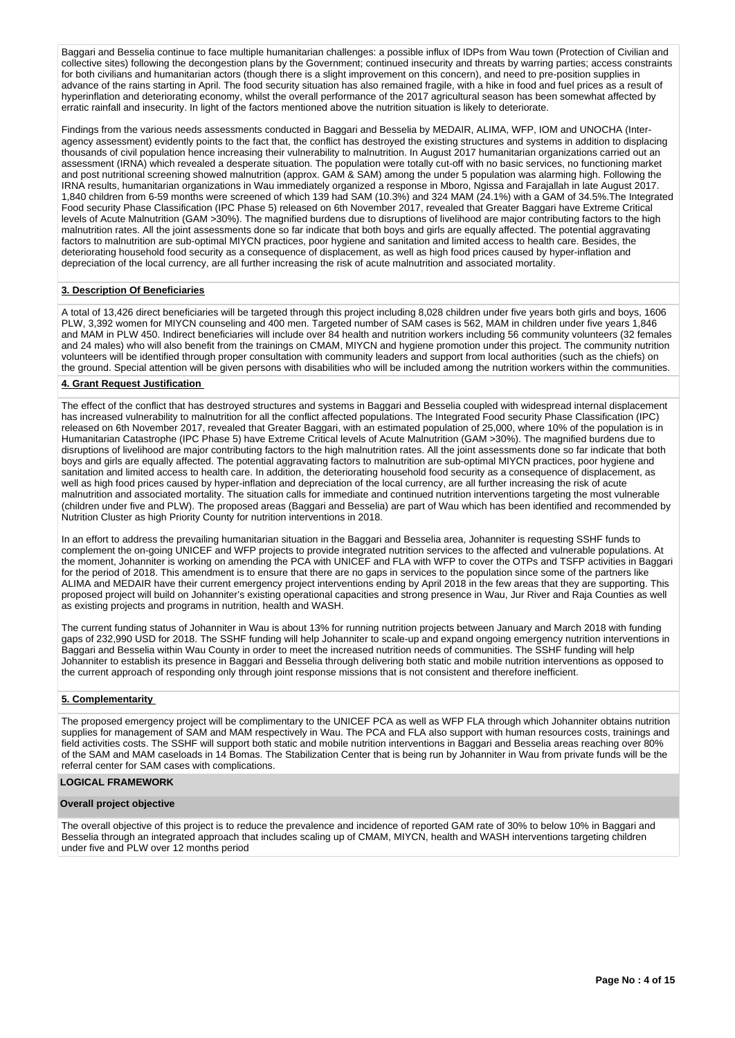Baggari and Besselia continue to face multiple humanitarian challenges: a possible influx of IDPs from Wau town (Protection of Civilian and collective sites) following the decongestion plans by the Government; continued insecurity and threats by warring parties; access constraints for both civilians and humanitarian actors (though there is a slight improvement on this concern), and need to pre-position supplies in advance of the rains starting in April. The food security situation has also remained fragile, with a hike in food and fuel prices as a result of hyperinflation and deteriorating economy, whilst the overall performance of the 2017 agricultural season has been somewhat affected by erratic rainfall and insecurity. In light of the factors mentioned above the nutrition situation is likely to deteriorate.

Findings from the various needs assessments conducted in Baggari and Besselia by MEDAIR, ALIMA, WFP, IOM and UNOCHA (Interagency assessment) evidently points to the fact that, the conflict has destroyed the existing structures and systems in addition to displacing thousands of civil population hence increasing their vulnerability to malnutrition. In August 2017 humanitarian organizations carried out an assessment (IRNA) which revealed a desperate situation. The population were totally cut-off with no basic services, no functioning market and post nutritional screening showed malnutrition (approx. GAM & SAM) among the under 5 population was alarming high. Following the IRNA results, humanitarian organizations in Wau immediately organized a response in Mboro, Ngissa and Farajallah in late August 2017. 1,840 children from 6-59 months were screened of which 139 had SAM (10.3%) and 324 MAM (24.1%) with a GAM of 34.5%.The Integrated Food security Phase Classification (IPC Phase 5) released on 6th November 2017, revealed that Greater Baggari have Extreme Critical levels of Acute Malnutrition (GAM >30%). The magnified burdens due to disruptions of livelihood are major contributing factors to the high malnutrition rates. All the joint assessments done so far indicate that both boys and girls are equally affected. The potential aggravating factors to malnutrition are sub-optimal MIYCN practices, poor hygiene and sanitation and limited access to health care. Besides, the deteriorating household food security as a consequence of displacement, as well as high food prices caused by hyper-inflation and depreciation of the local currency, are all further increasing the risk of acute malnutrition and associated mortality.

# **3. Description Of Beneficiaries**

A total of 13,426 direct beneficiaries will be targeted through this project including 8,028 children under five years both girls and boys, 1606 PLW, 3,392 women for MIYCN counseling and 400 men. Targeted number of SAM cases is 562, MAM in children under five years 1,846 and MAM in PLW 450. Indirect beneficiaries will include over 84 health and nutrition workers including 56 community volunteers (32 females and 24 males) who will also benefit from the trainings on CMAM, MIYCN and hygiene promotion under this project. The community nutrition volunteers will be identified through proper consultation with community leaders and support from local authorities (such as the chiefs) on the ground. Special attention will be given persons with disabilities who will be included among the nutrition workers within the communities.

#### **4. Grant Request Justification**

The effect of the conflict that has destroyed structures and systems in Baggari and Besselia coupled with widespread internal displacement has increased vulnerability to malnutrition for all the conflict affected populations. The Integrated Food security Phase Classification (IPC) released on 6th November 2017, revealed that Greater Baggari, with an estimated population of 25,000, where 10% of the population is in Humanitarian Catastrophe (IPC Phase 5) have Extreme Critical levels of Acute Malnutrition (GAM >30%). The magnified burdens due to disruptions of livelihood are major contributing factors to the high malnutrition rates. All the joint assessments done so far indicate that both boys and girls are equally affected. The potential aggravating factors to malnutrition are sub-optimal MIYCN practices, poor hygiene and sanitation and limited access to health care. In addition, the deteriorating household food security as a consequence of displacement, as well as high food prices caused by hyper-inflation and depreciation of the local currency, are all further increasing the risk of acute malnutrition and associated mortality. The situation calls for immediate and continued nutrition interventions targeting the most vulnerable (children under five and PLW). The proposed areas (Baggari and Besselia) are part of Wau which has been identified and recommended by Nutrition Cluster as high Priority County for nutrition interventions in 2018.

In an effort to address the prevailing humanitarian situation in the Baggari and Besselia area, Johanniter is requesting SSHF funds to complement the on-going UNICEF and WFP projects to provide integrated nutrition services to the affected and vulnerable populations. At the moment, Johanniter is working on amending the PCA with UNICEF and FLA with WFP to cover the OTPs and TSFP activities in Baggari for the period of 2018. This amendment is to ensure that there are no gaps in services to the population since some of the partners like ALIMA and MEDAIR have their current emergency project interventions ending by April 2018 in the few areas that they are supporting. This proposed project will build on Johanniter's existing operational capacities and strong presence in Wau, Jur River and Raja Counties as well as existing projects and programs in nutrition, health and WASH.

The current funding status of Johanniter in Wau is about 13% for running nutrition projects between January and March 2018 with funding gaps of 232,990 USD for 2018. The SSHF funding will help Johanniter to scale-up and expand ongoing emergency nutrition interventions in Baggari and Besselia within Wau County in order to meet the increased nutrition needs of communities. The SSHF funding will help Johanniter to establish its presence in Baggari and Besselia through delivering both static and mobile nutrition interventions as opposed to the current approach of responding only through joint response missions that is not consistent and therefore inefficient.

#### **5. Complementarity**

The proposed emergency project will be complimentary to the UNICEF PCA as well as WFP FLA through which Johanniter obtains nutrition supplies for management of SAM and MAM respectively in Wau. The PCA and FLA also support with human resources costs, trainings and field activities costs. The SSHF will support both static and mobile nutrition interventions in Baggari and Besselia areas reaching over 80% of the SAM and MAM caseloads in 14 Bomas. The Stabilization Center that is being run by Johanniter in Wau from private funds will be the referral center for SAM cases with complications.

## **LOGICAL FRAMEWORK**

#### **Overall project objective**

The overall objective of this project is to reduce the prevalence and incidence of reported GAM rate of 30% to below 10% in Baggari and Besselia through an integrated approach that includes scaling up of CMAM, MIYCN, health and WASH interventions targeting children under five and PLW over 12 months period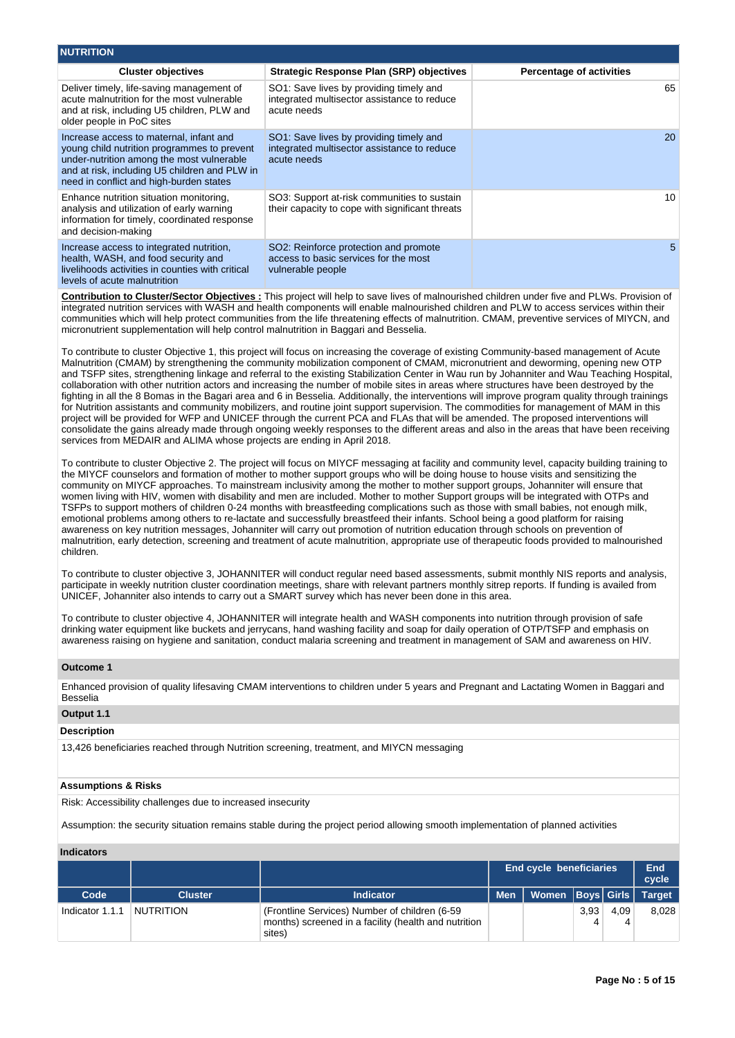| <b>NUTRITION</b>                                                                                                                                                                                                                |                                                                                                       |                                 |
|---------------------------------------------------------------------------------------------------------------------------------------------------------------------------------------------------------------------------------|-------------------------------------------------------------------------------------------------------|---------------------------------|
| <b>Cluster objectives</b>                                                                                                                                                                                                       | Strategic Response Plan (SRP) objectives                                                              | <b>Percentage of activities</b> |
| Deliver timely, life-saving management of<br>acute malnutrition for the most vulnerable<br>and at risk, including U5 children, PLW and<br>older people in PoC sites                                                             | SO1: Save lives by providing timely and<br>integrated multisector assistance to reduce<br>acute needs | 65                              |
| Increase access to maternal, infant and<br>young child nutrition programmes to prevent<br>under-nutrition among the most vulnerable<br>and at risk, including U5 children and PLW in<br>need in conflict and high-burden states | SO1: Save lives by providing timely and<br>integrated multisector assistance to reduce<br>acute needs | <b>20</b>                       |
| Enhance nutrition situation monitoring,<br>analysis and utilization of early warning<br>information for timely, coordinated response<br>and decision-making                                                                     | SO3: Support at-risk communities to sustain<br>their capacity to cope with significant threats        | 10                              |
| Increase access to integrated nutrition,<br>health, WASH, and food security and<br>livelihoods activities in counties with critical<br>levels of acute malnutrition                                                             | SO2: Reinforce protection and promote<br>access to basic services for the most<br>vulnerable people   | 5                               |

**Contribution to Cluster/Sector Objectives :** This project will help to save lives of malnourished children under five and PLWs. Provision of integrated nutrition services with WASH and health components will enable malnourished children and PLW to access services within their communities which will help protect communities from the life threatening effects of malnutrition. CMAM, preventive services of MIYCN, and micronutrient supplementation will help control malnutrition in Baggari and Besselia.

To contribute to cluster Objective 1, this project will focus on increasing the coverage of existing Community-based management of Acute Malnutrition (CMAM) by strengthening the community mobilization component of CMAM, micronutrient and deworming, opening new OTP and TSFP sites, strengthening linkage and referral to the existing Stabilization Center in Wau run by Johanniter and Wau Teaching Hospital, collaboration with other nutrition actors and increasing the number of mobile sites in areas where structures have been destroyed by the fighting in all the 8 Bomas in the Bagari area and 6 in Besselia. Additionally, the interventions will improve program quality through trainings for Nutrition assistants and community mobilizers, and routine joint support supervision. The commodities for management of MAM in this project will be provided for WFP and UNICEF through the current PCA and FLAs that will be amended. The proposed interventions will consolidate the gains already made through ongoing weekly responses to the different areas and also in the areas that have been receiving services from MEDAIR and ALIMA whose projects are ending in April 2018.

To contribute to cluster Objective 2. The project will focus on MIYCF messaging at facility and community level, capacity building training to the MIYCF counselors and formation of mother to mother support groups who will be doing house to house visits and sensitizing the community on MIYCF approaches. To mainstream inclusivity among the mother to mother support groups, Johanniter will ensure that women living with HIV, women with disability and men are included. Mother to mother Support groups will be integrated with OTPs and TSFPs to support mothers of children 0-24 months with breastfeeding complications such as those with small babies, not enough milk, emotional problems among others to re-lactate and successfully breastfeed their infants. School being a good platform for raising awareness on key nutrition messages, Johanniter will carry out promotion of nutrition education through schools on prevention of malnutrition, early detection, screening and treatment of acute malnutrition, appropriate use of therapeutic foods provided to malnourished children.

To contribute to cluster objective 3, JOHANNITER will conduct regular need based assessments, submit monthly NIS reports and analysis, participate in weekly nutrition cluster coordination meetings, share with relevant partners monthly sitrep reports. If funding is availed from UNICEF, Johanniter also intends to carry out a SMART survey which has never been done in this area.

To contribute to cluster objective 4, JOHANNITER will integrate health and WASH components into nutrition through provision of safe drinking water equipment like buckets and jerrycans, hand washing facility and soap for daily operation of OTP/TSFP and emphasis on awareness raising on hygiene and sanitation, conduct malaria screening and treatment in management of SAM and awareness on HIV.

#### **Outcome 1**

Enhanced provision of quality lifesaving CMAM interventions to children under 5 years and Pregnant and Lactating Women in Baggari and Besselia

# **Output 1.1**

# **Description**

13,426 beneficiaries reached through Nutrition screening, treatment, and MIYCN messaging

#### **Assumptions & Risks**

Risk: Accessibility challenges due to increased insecurity

Assumption: the security situation remains stable during the project period allowing smooth implementation of planned activities

#### **Indicators**

|                 |                  |                                                                                                                  |            | <b>End cycle beneficiaries</b> |      |      |               |
|-----------------|------------------|------------------------------------------------------------------------------------------------------------------|------------|--------------------------------|------|------|---------------|
| Code            | <b>Cluster</b>   | <b>Indicator</b>                                                                                                 | <b>Men</b> | Women Boys Girls               |      |      | <b>Target</b> |
| Indicator 1.1.1 | <b>NUTRITION</b> | (Frontline Services) Number of children (6-59)<br>months) screened in a facility (health and nutrition<br>sites) |            |                                | 3.93 | 4.09 | 8.028         |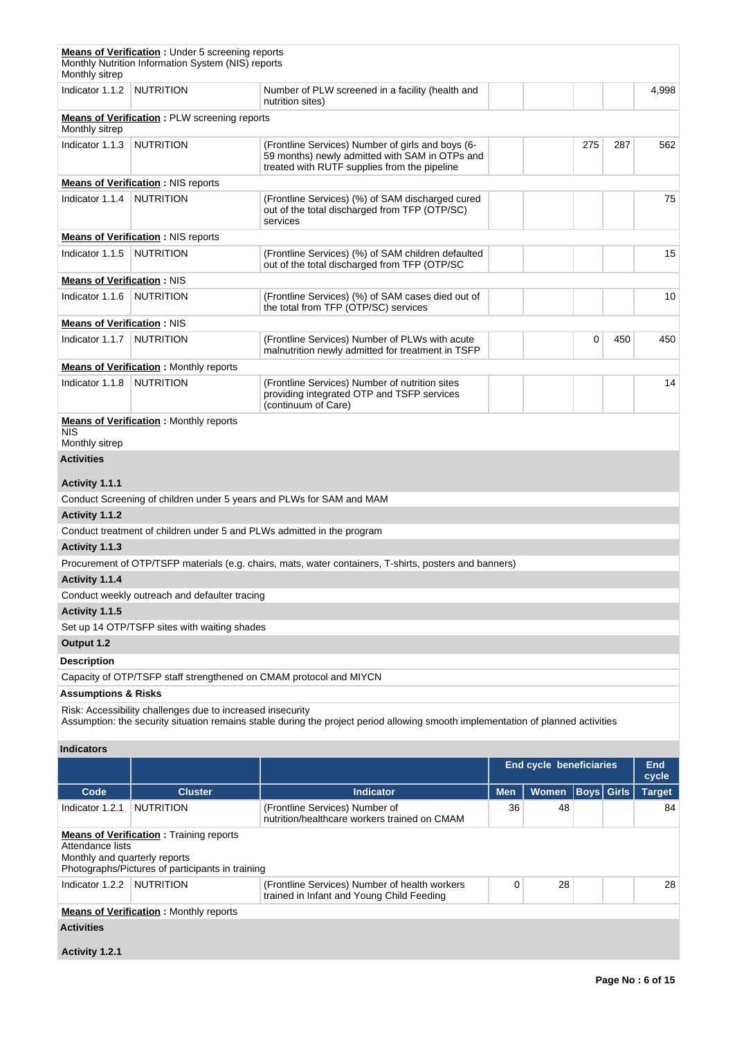| Monthly sitrep                                    | <b>Means of Verification:</b> Under 5 screening reports<br>Monthly Nutrition Information System (NIS) reports |                                                                                                                                                     |            |                                |                   |     |               |
|---------------------------------------------------|---------------------------------------------------------------------------------------------------------------|-----------------------------------------------------------------------------------------------------------------------------------------------------|------------|--------------------------------|-------------------|-----|---------------|
| Indicator 1.1.2                                   | <b>NUTRITION</b>                                                                                              | Number of PLW screened in a facility (health and<br>nutrition sites)                                                                                |            |                                |                   |     | 4,998         |
| Monthly sitrep                                    | <b>Means of Verification</b> : PLW screening reports                                                          |                                                                                                                                                     |            |                                |                   |     |               |
| Indicator 1.1.3                                   | <b>NUTRITION</b>                                                                                              | (Frontline Services) Number of girls and boys (6-<br>59 months) newly admitted with SAM in OTPs and<br>treated with RUTF supplies from the pipeline |            |                                | 275               | 287 | 562           |
|                                                   | <b>Means of Verification: NIS reports</b>                                                                     |                                                                                                                                                     |            |                                |                   |     |               |
| Indicator 1.1.4                                   | NUTRITION                                                                                                     | (Frontline Services) (%) of SAM discharged cured<br>out of the total discharged from TFP (OTP/SC)<br>services                                       |            |                                |                   |     | 75            |
|                                                   | <b>Means of Verification: NIS reports</b>                                                                     |                                                                                                                                                     |            |                                |                   |     |               |
| Indicator 1.1.5                                   | <b>NUTRITION</b>                                                                                              | (Frontline Services) (%) of SAM children defaulted<br>out of the total discharged from TFP (OTP/SC                                                  |            |                                |                   |     | 15            |
| <b>Means of Verification: NIS</b>                 |                                                                                                               |                                                                                                                                                     |            |                                |                   |     |               |
| Indicator 1.1.6                                   | <b>NUTRITION</b>                                                                                              | (Frontline Services) (%) of SAM cases died out of<br>the total from TFP (OTP/SC) services                                                           |            |                                |                   |     | 10            |
| <b>Means of Verification: NIS</b>                 |                                                                                                               |                                                                                                                                                     |            |                                |                   |     |               |
| Indicator 1.1.7                                   | <b>NUTRITION</b>                                                                                              | (Frontline Services) Number of PLWs with acute<br>malnutrition newly admitted for treatment in TSFP                                                 |            |                                | 0                 | 450 | 450           |
|                                                   | <b>Means of Verification:</b> Monthly reports                                                                 |                                                                                                                                                     |            |                                |                   |     |               |
| Indicator 1.1.8                                   | <b>NUTRITION</b>                                                                                              | (Frontline Services) Number of nutrition sites<br>providing integrated OTP and TSFP services<br>(continuum of Care)                                 |            |                                |                   |     | 14            |
| <b>NIS</b>                                        | <b>Means of Verification:</b> Monthly reports                                                                 |                                                                                                                                                     |            |                                |                   |     |               |
| Monthly sitrep                                    |                                                                                                               |                                                                                                                                                     |            |                                |                   |     |               |
| <b>Activities</b>                                 |                                                                                                               |                                                                                                                                                     |            |                                |                   |     |               |
| Activity 1.1.1                                    |                                                                                                               |                                                                                                                                                     |            |                                |                   |     |               |
|                                                   | Conduct Screening of children under 5 years and PLWs for SAM and MAM                                          |                                                                                                                                                     |            |                                |                   |     |               |
| Activity 1.1.2                                    |                                                                                                               |                                                                                                                                                     |            |                                |                   |     |               |
|                                                   | Conduct treatment of children under 5 and PLWs admitted in the program                                        |                                                                                                                                                     |            |                                |                   |     |               |
| Activity 1.1.3                                    |                                                                                                               |                                                                                                                                                     |            |                                |                   |     |               |
|                                                   |                                                                                                               | Procurement of OTP/TSFP materials (e.g. chairs, mats, water containers, T-shirts, posters and banners)                                              |            |                                |                   |     |               |
| Activity 1.1.4                                    |                                                                                                               |                                                                                                                                                     |            |                                |                   |     |               |
|                                                   | Conduct weekly outreach and defaulter tracing                                                                 |                                                                                                                                                     |            |                                |                   |     |               |
| Activity 1.1.5                                    |                                                                                                               |                                                                                                                                                     |            |                                |                   |     |               |
|                                                   | Set up 14 OTP/TSFP sites with waiting shades                                                                  |                                                                                                                                                     |            |                                |                   |     |               |
| Output 1.2                                        |                                                                                                               |                                                                                                                                                     |            |                                |                   |     |               |
| <b>Description</b>                                |                                                                                                               |                                                                                                                                                     |            |                                |                   |     |               |
|                                                   | Capacity of OTP/TSFP staff strengthened on CMAM protocol and MIYCN                                            |                                                                                                                                                     |            |                                |                   |     |               |
| <b>Assumptions &amp; Risks</b>                    |                                                                                                               |                                                                                                                                                     |            |                                |                   |     |               |
|                                                   | Risk: Accessibility challenges due to increased insecurity                                                    | Assumption: the security situation remains stable during the project period allowing smooth implementation of planned activities                    |            |                                |                   |     |               |
| <b>Indicators</b>                                 |                                                                                                               |                                                                                                                                                     |            |                                |                   |     |               |
|                                                   |                                                                                                               |                                                                                                                                                     |            | <b>End cycle beneficiaries</b> |                   |     | End<br>cycle  |
| Code                                              | <b>Cluster</b>                                                                                                | <b>Indicator</b>                                                                                                                                    | <b>Men</b> | Women                          | <b>Boys</b> Girls |     | <b>Target</b> |
| Indicator 1.2.1                                   | <b>NUTRITION</b>                                                                                              | (Frontline Services) Number of<br>nutrition/healthcare workers trained on CMAM                                                                      | 36         | 48                             |                   |     | 84            |
| Attendance lists<br>Monthly and quarterly reports | <b>Means of Verification:</b> Training reports<br>Photographs/Pictures of participants in training            |                                                                                                                                                     |            |                                |                   |     |               |
| Indicator 1.2.2                                   | <b>NUTRITION</b>                                                                                              | (Frontline Services) Number of health workers<br>trained in Infant and Young Child Feeding                                                          | 0          | 28                             |                   |     | 28            |
|                                                   | <b>Means of Verification:</b> Monthly reports                                                                 |                                                                                                                                                     |            |                                |                   |     |               |
| <b>Activities</b>                                 |                                                                                                               |                                                                                                                                                     |            |                                |                   |     |               |

**Activity 1.2.1**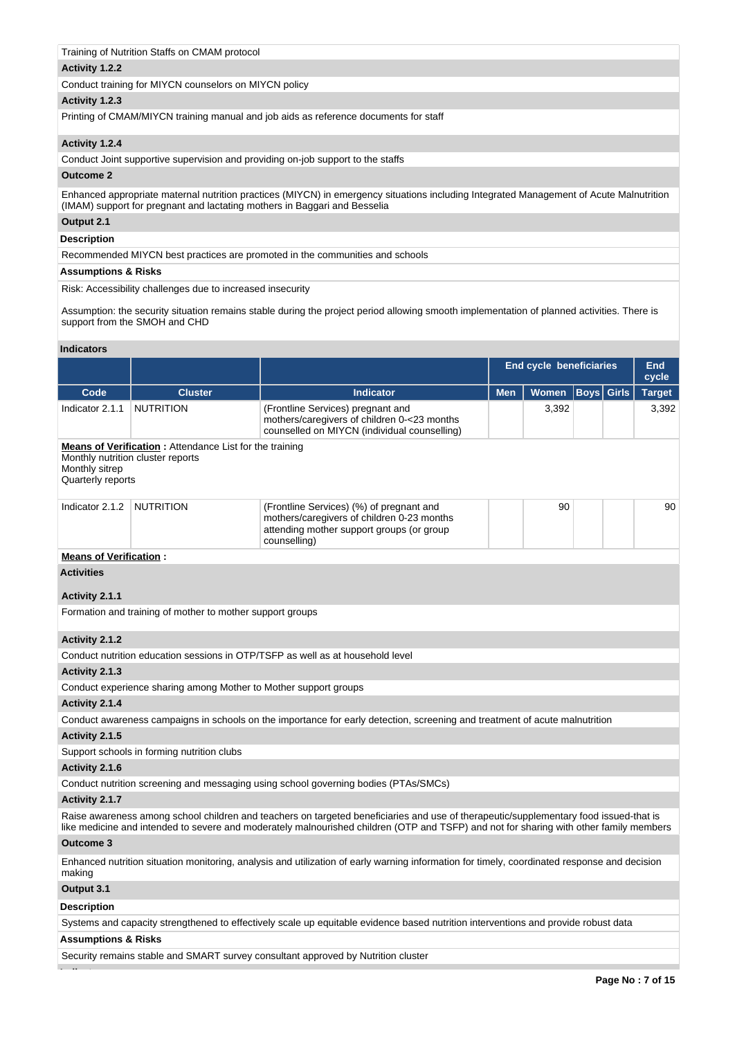# Training of Nutrition Staffs on CMAM protocol

## **Activity 1.2.2**

Conduct training for MIYCN counselors on MIYCN policy

# **Activity 1.2.3**

Printing of CMAM/MIYCN training manual and job aids as reference documents for staff

## **Activity 1.2.4**

Conduct Joint supportive supervision and providing on-job support to the staffs

#### **Outcome 2**

Enhanced appropriate maternal nutrition practices (MIYCN) in emergency situations including Integrated Management of Acute Malnutrition (IMAM) support for pregnant and lactating mothers in Baggari and Besselia

# **Output 2.1**

# **Description**

Recommended MIYCN best practices are promoted in the communities and schools

#### **Assumptions & Risks**

Risk: Accessibility challenges due to increased insecurity

Assumption: the security situation remains stable during the project period allowing smooth implementation of planned activities. There is support from the SMOH and CHD

#### **Indicators**

|                                     |                                                                                                     |                                                                                                                                                     | <b>End cycle beneficiaries</b> | End<br>cycle |                   |               |
|-------------------------------------|-----------------------------------------------------------------------------------------------------|-----------------------------------------------------------------------------------------------------------------------------------------------------|--------------------------------|--------------|-------------------|---------------|
| Code                                | <b>Cluster</b>                                                                                      | Indicator                                                                                                                                           | <b>Men</b>                     | <b>Women</b> | <b>Boys</b> Girls | <b>Target</b> |
| Indicator 2.1.1                     | <b>NUTRITION</b>                                                                                    | (Frontline Services) pregnant and<br>mothers/caregivers of children 0-<23 months<br>counselled on MIYCN (individual counselling)                    |                                | 3,392        |                   | 3.392         |
| Monthly sitrep<br>Quarterly reports | <b>Means of Verification:</b> Attendance List for the training<br>Monthly nutrition cluster reports |                                                                                                                                                     |                                |              |                   |               |
| Indicator 2.1.2                     | <b>NUTRITION</b>                                                                                    | (Frontline Services) (%) of pregnant and<br>mothers/caregivers of children 0-23 months<br>attending mother support groups (or group<br>counselling) |                                | 90           |                   | 90            |

## **Means of Verification :**

**Activities**

## **Activity 2.1.1**

Formation and training of mother to mother support groups

# **Activity 2.1.2**

Conduct nutrition education sessions in OTP/TSFP as well as at household level

# **Activity 2.1.3**

Conduct experience sharing among Mother to Mother support groups

# **Activity 2.1.4**

Conduct awareness campaigns in schools on the importance for early detection, screening and treatment of acute malnutrition

## **Activity 2.1.5**

Support schools in forming nutrition clubs

#### **Activity 2.1.6**

Conduct nutrition screening and messaging using school governing bodies (PTAs/SMCs)

## **Activity 2.1.7**

Raise awareness among school children and teachers on targeted beneficiaries and use of therapeutic/supplementary food issued-that is like medicine and intended to severe and moderately malnourished children (OTP and TSFP) and not for sharing with other family members

# **Outcome 3**

Enhanced nutrition situation monitoring, analysis and utilization of early warning information for timely, coordinated response and decision making

# **Output 3.1**

#### **Description**

**Indicators**

Systems and capacity strengthened to effectively scale up equitable evidence based nutrition interventions and provide robust data

# **Assumptions & Risks**

Security remains stable and SMART survey consultant approved by Nutrition cluster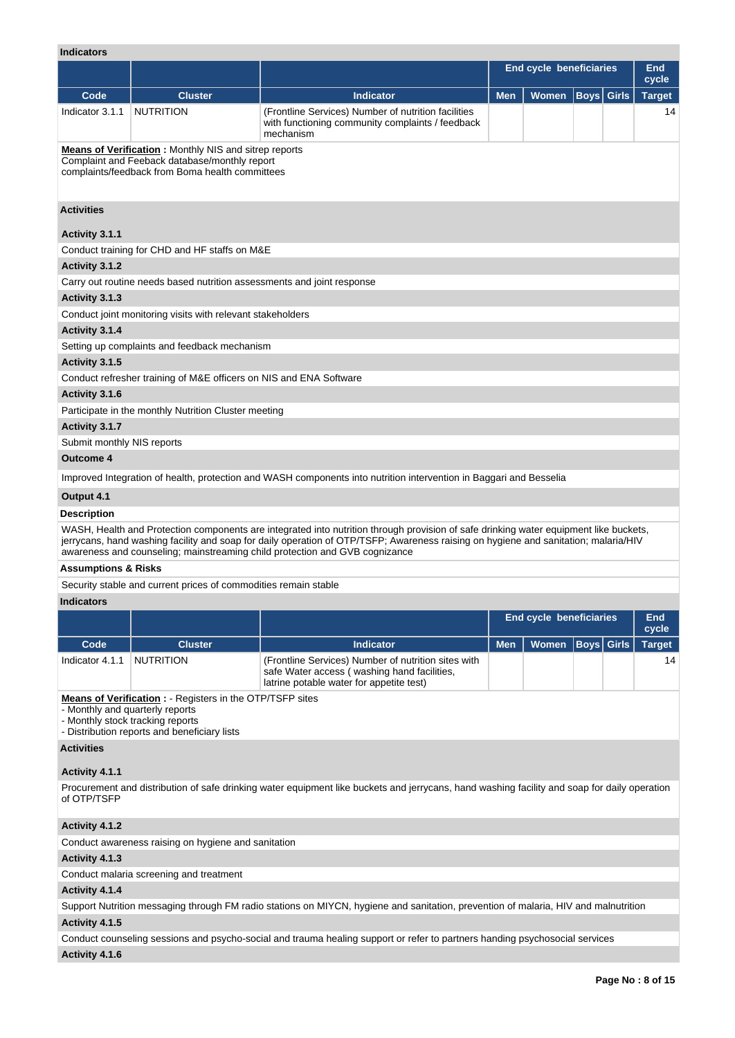#### **Indicators**

| <b>Indicators</b>              |                                                                                                                                                                  |                                                                                                                                                                                                                                                                                                                                                             |                                |                                |                   |  |               |  |  |  |
|--------------------------------|------------------------------------------------------------------------------------------------------------------------------------------------------------------|-------------------------------------------------------------------------------------------------------------------------------------------------------------------------------------------------------------------------------------------------------------------------------------------------------------------------------------------------------------|--------------------------------|--------------------------------|-------------------|--|---------------|--|--|--|
|                                |                                                                                                                                                                  |                                                                                                                                                                                                                                                                                                                                                             |                                | <b>End cycle beneficiaries</b> |                   |  | End<br>cycle  |  |  |  |
| Code                           | <b>Cluster</b>                                                                                                                                                   | <b>Indicator</b>                                                                                                                                                                                                                                                                                                                                            | <b>Men</b>                     | Women                          | <b>Boys</b> Girls |  | <b>Target</b> |  |  |  |
| Indicator 3.1.1                | <b>NUTRITION</b>                                                                                                                                                 | (Frontline Services) Number of nutrition facilities<br>with functioning community complaints / feedback<br>mechanism                                                                                                                                                                                                                                        |                                |                                |                   |  | 14            |  |  |  |
|                                | <b>Means of Verification:</b> Monthly NIS and sitrep reports<br>Complaint and Feeback database/monthly report<br>complaints/feedback from Boma health committees |                                                                                                                                                                                                                                                                                                                                                             |                                |                                |                   |  |               |  |  |  |
| <b>Activities</b>              |                                                                                                                                                                  |                                                                                                                                                                                                                                                                                                                                                             |                                |                                |                   |  |               |  |  |  |
| Activity 3.1.1                 |                                                                                                                                                                  |                                                                                                                                                                                                                                                                                                                                                             |                                |                                |                   |  |               |  |  |  |
|                                | Conduct training for CHD and HF staffs on M&E                                                                                                                    |                                                                                                                                                                                                                                                                                                                                                             |                                |                                |                   |  |               |  |  |  |
| Activity 3.1.2                 |                                                                                                                                                                  |                                                                                                                                                                                                                                                                                                                                                             |                                |                                |                   |  |               |  |  |  |
|                                | Carry out routine needs based nutrition assessments and joint response                                                                                           |                                                                                                                                                                                                                                                                                                                                                             |                                |                                |                   |  |               |  |  |  |
| Activity 3.1.3                 |                                                                                                                                                                  |                                                                                                                                                                                                                                                                                                                                                             |                                |                                |                   |  |               |  |  |  |
|                                | Conduct joint monitoring visits with relevant stakeholders                                                                                                       |                                                                                                                                                                                                                                                                                                                                                             |                                |                                |                   |  |               |  |  |  |
| Activity 3.1.4                 |                                                                                                                                                                  |                                                                                                                                                                                                                                                                                                                                                             |                                |                                |                   |  |               |  |  |  |
|                                | Setting up complaints and feedback mechanism                                                                                                                     |                                                                                                                                                                                                                                                                                                                                                             |                                |                                |                   |  |               |  |  |  |
| Activity 3.1.5                 |                                                                                                                                                                  |                                                                                                                                                                                                                                                                                                                                                             |                                |                                |                   |  |               |  |  |  |
|                                | Conduct refresher training of M&E officers on NIS and ENA Software                                                                                               |                                                                                                                                                                                                                                                                                                                                                             |                                |                                |                   |  |               |  |  |  |
| Activity 3.1.6                 |                                                                                                                                                                  |                                                                                                                                                                                                                                                                                                                                                             |                                |                                |                   |  |               |  |  |  |
|                                | Participate in the monthly Nutrition Cluster meeting                                                                                                             |                                                                                                                                                                                                                                                                                                                                                             |                                |                                |                   |  |               |  |  |  |
| Activity 3.1.7                 |                                                                                                                                                                  |                                                                                                                                                                                                                                                                                                                                                             |                                |                                |                   |  |               |  |  |  |
| Submit monthly NIS reports     |                                                                                                                                                                  |                                                                                                                                                                                                                                                                                                                                                             |                                |                                |                   |  |               |  |  |  |
| <b>Outcome 4</b>               |                                                                                                                                                                  |                                                                                                                                                                                                                                                                                                                                                             |                                |                                |                   |  |               |  |  |  |
|                                |                                                                                                                                                                  | Improved Integration of health, protection and WASH components into nutrition intervention in Baggari and Besselia                                                                                                                                                                                                                                          |                                |                                |                   |  |               |  |  |  |
| Output 4.1                     |                                                                                                                                                                  |                                                                                                                                                                                                                                                                                                                                                             |                                |                                |                   |  |               |  |  |  |
| <b>Description</b>             |                                                                                                                                                                  |                                                                                                                                                                                                                                                                                                                                                             |                                |                                |                   |  |               |  |  |  |
|                                |                                                                                                                                                                  | WASH, Health and Protection components are integrated into nutrition through provision of safe drinking water equipment like buckets,<br>jerrycans, hand washing facility and soap for daily operation of OTP/TSFP; Awareness raising on hygiene and sanitation; malaria/HIV<br>awareness and counseling; mainstreaming child protection and GVB cognizance |                                |                                |                   |  |               |  |  |  |
| <b>Assumptions &amp; Risks</b> |                                                                                                                                                                  |                                                                                                                                                                                                                                                                                                                                                             |                                |                                |                   |  |               |  |  |  |
|                                | Security stable and current prices of commodities remain stable                                                                                                  |                                                                                                                                                                                                                                                                                                                                                             |                                |                                |                   |  |               |  |  |  |
| <b>Indicators</b>              |                                                                                                                                                                  |                                                                                                                                                                                                                                                                                                                                                             |                                |                                |                   |  |               |  |  |  |
|                                |                                                                                                                                                                  |                                                                                                                                                                                                                                                                                                                                                             | <b>End cycle beneficiaries</b> | End<br>cycle                   |                   |  |               |  |  |  |
| Code                           | <b>Cluster</b>                                                                                                                                                   | <b>Indicator</b>                                                                                                                                                                                                                                                                                                                                            | <b>Men</b>                     | <b>Women</b>                   | <b>Boys</b> Girls |  | <b>Target</b> |  |  |  |

**Means of Verification :** - Registers in the OTP/TSFP sites

Indicator 4.1.1 NUTRITION (Frontline Services) Number of nutrition sites with

- Monthly and quarterly reports

- Monthly stock tracking reports

- Distribution reports and beneficiary lists

**Activities**

## **Activity 4.1.1**

Procurement and distribution of safe drinking water equipment like buckets and jerrycans, hand washing facility and soap for daily operation of OTP/TSFP

safe Water access ( washing hand facilities, latrine potable water for appetite test)

# **Activity 4.1.2**

Conduct awareness raising on hygiene and sanitation

# **Activity 4.1.3**

Conduct malaria screening and treatment

#### **Activity 4.1.4**

Support Nutrition messaging through FM radio stations on MIYCN, hygiene and sanitation, prevention of malaria, HIV and malnutrition

# **Activity 4.1.5**

Conduct counseling sessions and psycho-social and trauma healing support or refer to partners handing psychosocial services **Activity 4.1.6** 

14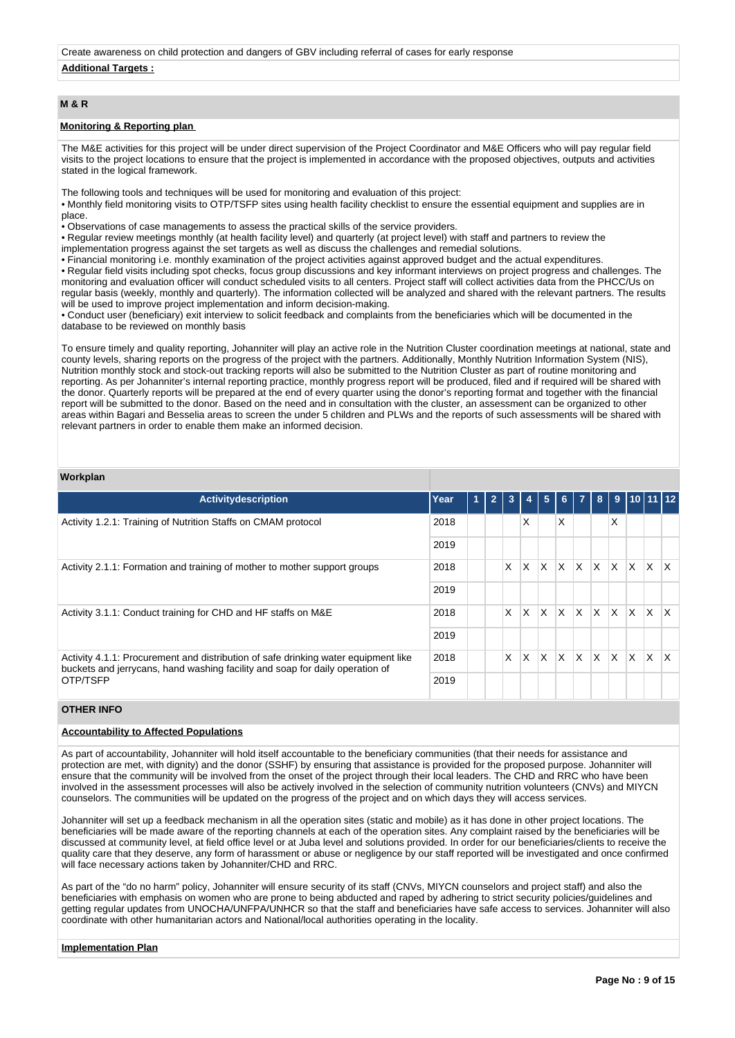Create awareness on child protection and dangers of GBV including referral of cases for early response

## **Additional Targets :**

# **M & R**

## **Monitoring & Reporting plan**

The M&E activities for this project will be under direct supervision of the Project Coordinator and M&E Officers who will pay regular field visits to the project locations to ensure that the project is implemented in accordance with the proposed objectives, outputs and activities stated in the logical framework.

The following tools and techniques will be used for monitoring and evaluation of this project:

• Monthly field monitoring visits to OTP/TSFP sites using health facility checklist to ensure the essential equipment and supplies are in place.

• Observations of case managements to assess the practical skills of the service providers.

• Regular review meetings monthly (at health facility level) and quarterly (at project level) with staff and partners to review the

implementation progress against the set targets as well as discuss the challenges and remedial solutions.

• Financial monitoring i.e. monthly examination of the project activities against approved budget and the actual expenditures.

• Regular field visits including spot checks, focus group discussions and key informant interviews on project progress and challenges. The monitoring and evaluation officer will conduct scheduled visits to all centers. Project staff will collect activities data from the PHCC/Us on regular basis (weekly, monthly and quarterly). The information collected will be analyzed and shared with the relevant partners. The results will be used to improve project implementation and inform decision-making.

• Conduct user (beneficiary) exit interview to solicit feedback and complaints from the beneficiaries which will be documented in the database to be reviewed on monthly basis

To ensure timely and quality reporting, Johanniter will play an active role in the Nutrition Cluster coordination meetings at national, state and county levels, sharing reports on the progress of the project with the partners. Additionally, Monthly Nutrition Information System (NIS), Nutrition monthly stock and stock-out tracking reports will also be submitted to the Nutrition Cluster as part of routine monitoring and reporting. As per Johanniter's internal reporting practice, monthly progress report will be produced, filed and if required will be shared with the donor. Quarterly reports will be prepared at the end of every quarter using the donor's reporting format and together with the financial report will be submitted to the donor. Based on the need and in consultation with the cluster, an assessment can be organized to other areas within Bagari and Besselia areas to screen the under 5 children and PLWs and the reports of such assessments will be shared with relevant partners in order to enable them make an informed decision.

#### **Workplan**

| <b>Activitydescription</b>                                                                                                                                                     | Year | 1 | $\overline{2}$ | 3 | 4 | 5        | 6 <sup>1</sup> | $\overline{7}$ | 8                            |          |          | 9   10   11   12 |                         |
|--------------------------------------------------------------------------------------------------------------------------------------------------------------------------------|------|---|----------------|---|---|----------|----------------|----------------|------------------------------|----------|----------|------------------|-------------------------|
| Activity 1.2.1: Training of Nutrition Staffs on CMAM protocol                                                                                                                  |      |   |                |   | X |          | X              |                |                              | X        |          |                  |                         |
|                                                                                                                                                                                | 2019 |   |                |   |   |          |                |                |                              |          |          |                  |                         |
| Activity 2.1.1: Formation and training of mother to mother support groups                                                                                                      | 2018 |   |                | X | X | X        | $\mathsf{x}$   | ΙX.            | $\mathsf{X}$                 | <b>X</b> | <b>X</b> | $\mathsf{X}$     | $\mathsf{I} \mathsf{X}$ |
|                                                                                                                                                                                |      |   |                |   |   |          |                |                |                              |          |          |                  |                         |
| Activity 3.1.1: Conduct training for CHD and HF staffs on M&E                                                                                                                  | 2018 |   |                | X | X | $\times$ | $\times$       | ΙX.            | $\mathsf{X} \mathsf{X}$      |          | IX.      | $\mathsf{X}$     | $\mathsf{X}$            |
|                                                                                                                                                                                | 2019 |   |                |   |   |          |                |                |                              |          |          |                  |                         |
| Activity 4.1.1: Procurement and distribution of safe drinking water equipment like<br>buckets and jerrycans, hand washing facility and soap for daily operation of<br>OTP/TSFP | 2018 |   |                | X | X | X        | X              | ΙX.            | $\mathbb{I} X$ <sup>-1</sup> | <b>X</b> | <b>X</b> | IX.              | ΙX                      |
|                                                                                                                                                                                | 2019 |   |                |   |   |          |                |                |                              |          |          |                  |                         |

## **OTHER INFO**

# **Accountability to Affected Populations**

As part of accountability, Johanniter will hold itself accountable to the beneficiary communities (that their needs for assistance and protection are met, with dignity) and the donor (SSHF) by ensuring that assistance is provided for the proposed purpose. Johanniter will ensure that the community will be involved from the onset of the project through their local leaders. The CHD and RRC who have been involved in the assessment processes will also be actively involved in the selection of community nutrition volunteers (CNVs) and MIYCN counselors. The communities will be updated on the progress of the project and on which days they will access services.

Johanniter will set up a feedback mechanism in all the operation sites (static and mobile) as it has done in other project locations. The beneficiaries will be made aware of the reporting channels at each of the operation sites. Any complaint raised by the beneficiaries will be discussed at community level, at field office level or at Juba level and solutions provided. In order for our beneficiaries/clients to receive the quality care that they deserve, any form of harassment or abuse or negligence by our staff reported will be investigated and once confirmed will face necessary actions taken by Johanniter/CHD and RRC.

As part of the "do no harm" policy, Johanniter will ensure security of its staff (CNVs, MIYCN counselors and project staff) and also the beneficiaries with emphasis on women who are prone to being abducted and raped by adhering to strict security policies/guidelines and getting regular updates from UNOCHA/UNFPA/UNHCR so that the staff and beneficiaries have safe access to services. Johanniter will also coordinate with other humanitarian actors and National/local authorities operating in the locality.

#### **Implementation Plan**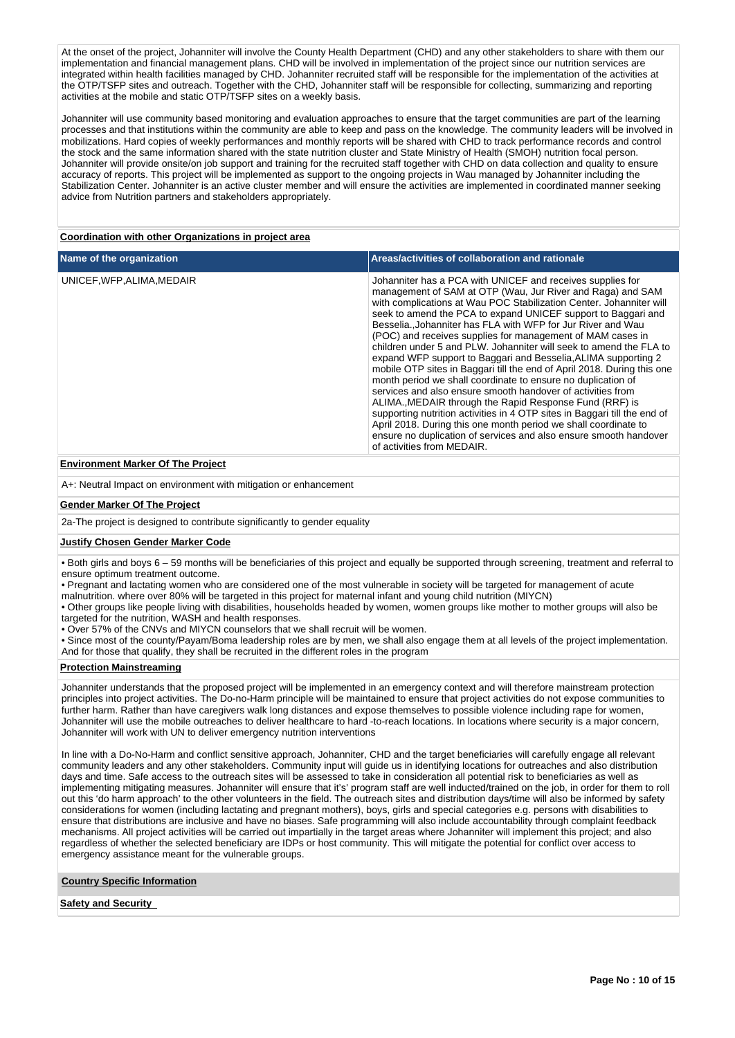At the onset of the project, Johanniter will involve the County Health Department (CHD) and any other stakeholders to share with them our implementation and financial management plans. CHD will be involved in implementation of the project since our nutrition services are integrated within health facilities managed by CHD. Johanniter recruited staff will be responsible for the implementation of the activities at the OTP/TSFP sites and outreach. Together with the CHD, Johanniter staff will be responsible for collecting, summarizing and reporting activities at the mobile and static OTP/TSFP sites on a weekly basis.

Johanniter will use community based monitoring and evaluation approaches to ensure that the target communities are part of the learning processes and that institutions within the community are able to keep and pass on the knowledge. The community leaders will be involved in mobilizations. Hard copies of weekly performances and monthly reports will be shared with CHD to track performance records and control the stock and the same information shared with the state nutrition cluster and State Ministry of Health (SMOH) nutrition focal person. Johanniter will provide onsite/on job support and training for the recruited staff together with CHD on data collection and quality to ensure accuracy of reports. This project will be implemented as support to the ongoing projects in Wau managed by Johanniter including the Stabilization Center. Johanniter is an active cluster member and will ensure the activities are implemented in coordinated manner seeking advice from Nutrition partners and stakeholders appropriately.

## **Coordination with other Organizations in project area**

| Name of the organization   | Areas/activities of collaboration and rationale                                                                                                                                                                                                                                                                                                                                                                                                                                                                                                                                                                                                                                                                                                                                                                                                                                                                                                                                                                                                                |
|----------------------------|----------------------------------------------------------------------------------------------------------------------------------------------------------------------------------------------------------------------------------------------------------------------------------------------------------------------------------------------------------------------------------------------------------------------------------------------------------------------------------------------------------------------------------------------------------------------------------------------------------------------------------------------------------------------------------------------------------------------------------------------------------------------------------------------------------------------------------------------------------------------------------------------------------------------------------------------------------------------------------------------------------------------------------------------------------------|
| UNICEF, WFP, ALIMA, MEDAIR | Johanniter has a PCA with UNICEF and receives supplies for<br>management of SAM at OTP (Wau, Jur River and Raga) and SAM<br>with complications at Wau POC Stabilization Center. Johanniter will<br>seek to amend the PCA to expand UNICEF support to Baggari and<br>Besselia., Johanniter has FLA with WFP for Jur River and Wau<br>(POC) and receives supplies for management of MAM cases in<br>children under 5 and PLW. Johanniter will seek to amend the FLA to<br>expand WFP support to Baggari and Besselia, ALIMA supporting 2<br>mobile OTP sites in Baggari till the end of April 2018. During this one<br>month period we shall coordinate to ensure no duplication of<br>services and also ensure smooth handover of activities from<br>ALIMA., MEDAIR through the Rapid Response Fund (RRF) is<br>supporting nutrition activities in 4 OTP sites in Baggari till the end of<br>April 2018. During this one month period we shall coordinate to<br>ensure no duplication of services and also ensure smooth handover<br>of activities from MEDAIR. |

# **Environment Marker Of The Project**

A+: Neutral Impact on environment with mitigation or enhancement

#### **Gender Marker Of The Project**

2a-The project is designed to contribute significantly to gender equality

#### **Justify Chosen Gender Marker Code**

• Both girls and boys 6 – 59 months will be beneficiaries of this project and equally be supported through screening, treatment and referral to ensure optimum treatment outcome.

- Pregnant and lactating women who are considered one of the most vulnerable in society will be targeted for management of acute
- malnutrition. where over 80% will be targeted in this project for maternal infant and young child nutrition (MIYCN)

• Other groups like people living with disabilities, households headed by women, women groups like mother to mother groups will also be targeted for the nutrition, WASH and health responses.

• Over 57% of the CNVs and MIYCN counselors that we shall recruit will be women.

• Since most of the county/Payam/Boma leadership roles are by men, we shall also engage them at all levels of the project implementation. And for those that qualify, they shall be recruited in the different roles in the program

#### **Protection Mainstreaming**

Johanniter understands that the proposed project will be implemented in an emergency context and will therefore mainstream protection principles into project activities. The Do-no-Harm principle will be maintained to ensure that project activities do not expose communities to further harm. Rather than have caregivers walk long distances and expose themselves to possible violence including rape for women, Johanniter will use the mobile outreaches to deliver healthcare to hard -to-reach locations. In locations where security is a major concern, Johanniter will work with UN to deliver emergency nutrition interventions

In line with a Do-No-Harm and conflict sensitive approach, Johanniter, CHD and the target beneficiaries will carefully engage all relevant community leaders and any other stakeholders. Community input will guide us in identifying locations for outreaches and also distribution days and time. Safe access to the outreach sites will be assessed to take in consideration all potential risk to beneficiaries as well as implementing mitigating measures. Johanniter will ensure that it's' program staff are well inducted/trained on the job, in order for them to roll out this 'do harm approach' to the other volunteers in the field. The outreach sites and distribution days/time will also be informed by safety considerations for women (including lactating and pregnant mothers), boys, girls and special categories e.g. persons with disabilities to ensure that distributions are inclusive and have no biases. Safe programming will also include accountability through complaint feedback mechanisms. All project activities will be carried out impartially in the target areas where Johanniter will implement this project; and also regardless of whether the selected beneficiary are IDPs or host community. This will mitigate the potential for conflict over access to emergency assistance meant for the vulnerable groups.

**Country Specific Information**

# **Safety and Security**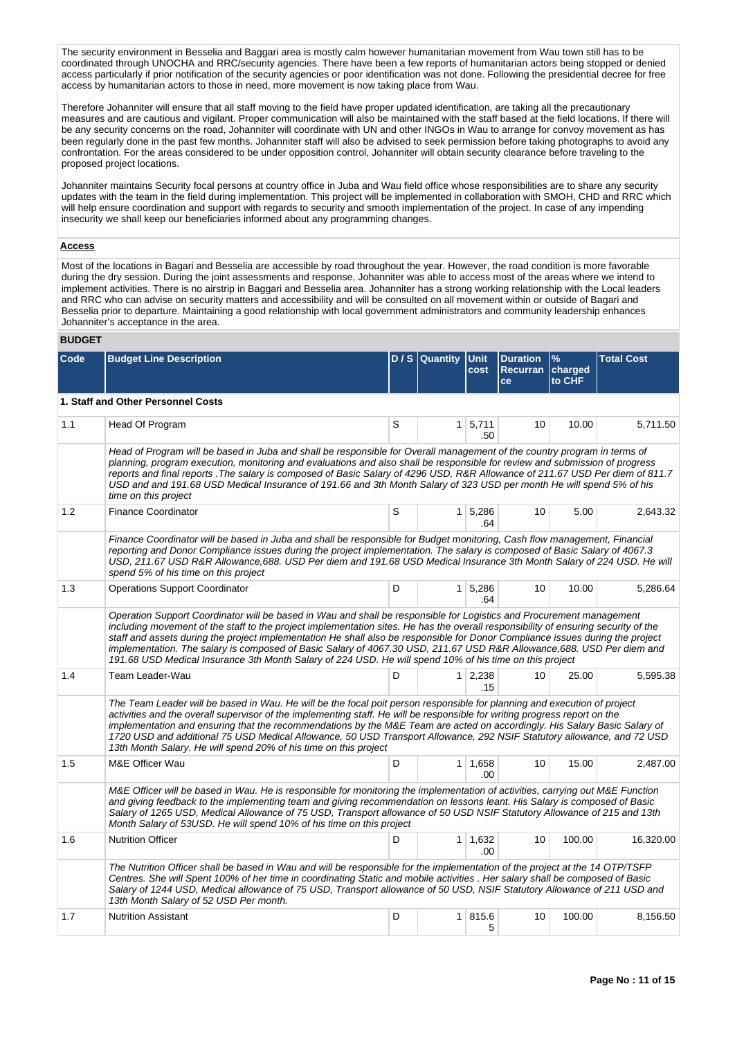The security environment in Besselia and Baggari area is mostly calm however humanitarian movement from Wau town still has to be coordinated through UNOCHA and RRC/security agencies. There have been a few reports of humanitarian actors being stopped or denied access particularly if prior notification of the security agencies or poor identification was not done. Following the presidential decree for free access by humanitarian actors to those in need, more movement is now taking place from Wau.

Therefore Johanniter will ensure that all staff moving to the field have proper updated identification, are taking all the precautionary measures and are cautious and vigilant. Proper communication will also be maintained with the staff based at the field locations. If there will be any security concerns on the road, Johanniter will coordinate with UN and other INGOs in Wau to arrange for convoy movement as has been regularly done in the past few months. Johanniter staff will also be advised to seek permission before taking photographs to avoid any confrontation. For the areas considered to be under opposition control, Johanniter will obtain security clearance before traveling to the proposed project locations.

Johanniter maintains Security focal persons at country office in Juba and Wau field office whose responsibilities are to share any security updates with the team in the field during implementation. This project will be implemented in collaboration with SMOH, CHD and RRC which will help ensure coordination and support with regards to security and smooth implementation of the project. In case of any impending insecurity we shall keep our beneficiaries informed about any programming changes.

#### **Access**

Most of the locations in Bagari and Besselia are accessible by road throughout the year. However, the road condition is more favorable during the dry session. During the joint assessments and response, Johanniter was able to access most of the areas where we intend to implement activities. There is no airstrip in Baggari and Besselia area. Johanniter has a strong working relationship with the Local leaders and RRC who can advise on security matters and accessibility and will be consulted on all movement within or outside of Bagari and Besselia prior to departure. Maintaining a good relationship with local government administrators and community leadership enhances Johanniter's acceptance in the area.

## **BUDGET**

| Code | <b>Budget Line Description</b>                                                                                                                                                                                                                                                                                                                                                                                                                                                                                                                                                                                                    |   | $D / S  $ Quantity | <b>Unit</b><br>cost   | <b>Duration</b><br>Recurran<br>ce | %<br>charged<br>to CHF | <b>Total Cost</b> |
|------|-----------------------------------------------------------------------------------------------------------------------------------------------------------------------------------------------------------------------------------------------------------------------------------------------------------------------------------------------------------------------------------------------------------------------------------------------------------------------------------------------------------------------------------------------------------------------------------------------------------------------------------|---|--------------------|-----------------------|-----------------------------------|------------------------|-------------------|
|      | 1. Staff and Other Personnel Costs                                                                                                                                                                                                                                                                                                                                                                                                                                                                                                                                                                                                |   |                    |                       |                                   |                        |                   |
| 1.1  | Head Of Program                                                                                                                                                                                                                                                                                                                                                                                                                                                                                                                                                                                                                   | S | 1 <sup>1</sup>     | 5,711<br>.50          | 10                                | 10.00                  | 5.711.50          |
|      | Head of Program will be based in Juba and shall be responsible for Overall management of the country program in terms of<br>planning, program execution, monitoring and evaluations and also shall be responsible for review and submission of progress<br>reports and final reports . The salary is composed of Basic Salary of 4296 USD, R&R Allowance of 211.67 USD Per diem of 811.7<br>USD and and 191.68 USD Medical Insurance of 191.66 and 3th Month Salary of 323 USD per month He will spend 5% of his<br>time on this project                                                                                          |   |                    |                       |                                   |                        |                   |
| 1.2  | <b>Finance Coordinator</b>                                                                                                                                                                                                                                                                                                                                                                                                                                                                                                                                                                                                        | S |                    | 1 5,286<br>.64        | 10                                | 5.00                   | 2,643.32          |
|      | Finance Coordinator will be based in Juba and shall be responsible for Budget monitoring, Cash flow management, Financial<br>reporting and Donor Compliance issues during the project implementation. The salary is composed of Basic Salary of 4067.3<br>USD, 211.67 USD R&R Allowance, 688. USD Per diem and 191.68 USD Medical Insurance 3th Month Salary of 224 USD. He will<br>spend 5% of his time on this project                                                                                                                                                                                                          |   |                    |                       |                                   |                        |                   |
| 1.3  | <b>Operations Support Coordinator</b>                                                                                                                                                                                                                                                                                                                                                                                                                                                                                                                                                                                             | D |                    | 1 5,286<br>.64        | 10                                | 10.00                  | 5.286.64          |
|      | Operation Support Coordinator will be based in Wau and shall be responsible for Logistics and Procurement management<br>including movement of the staff to the project implementation sites. He has the overall responsibility of ensuring security of the<br>staff and assets during the project implementation He shall also be responsible for Donor Compliance issues during the project<br>implementation. The salary is composed of Basic Salary of 4067.30 USD, 211.67 USD R&R Allowance, 688. USD Per diem and<br>191.68 USD Medical Insurance 3th Month Salary of 224 USD. He will spend 10% of his time on this project |   |                    |                       |                                   |                        |                   |
| 1.4  | Team Leader-Wau                                                                                                                                                                                                                                                                                                                                                                                                                                                                                                                                                                                                                   | D |                    | $1 \mid 2,238$<br>.15 | 10 <sup>1</sup>                   | 25.00                  | 5,595.38          |
|      | The Team Leader will be based in Wau. He will be the focal poit person responsible for planning and execution of project<br>activities and the overall supervisor of the implementing staff. He will be responsible for writing progress report on the<br>implementation and ensuring that the recommendations by the M&E Team are acted on accordingly. His Salary Basic Salary of<br>1720 USD and additional 75 USD Medical Allowance, 50 USD Transport Allowance, 292 NSIF Statutory allowance, and 72 USD<br>13th Month Salary. He will spend 20% of his time on this project                                                 |   |                    |                       |                                   |                        |                   |
| 1.5  | M&E Officer Wau                                                                                                                                                                                                                                                                                                                                                                                                                                                                                                                                                                                                                   | D |                    | 1 1,658<br>.00        | 10                                | 15.00                  | 2,487.00          |
|      | M&E Officer will be based in Wau. He is responsible for monitoring the implementation of activities, carrying out M&E Function<br>and giving feedback to the implementing team and giving recommendation on lessons leant. His Salary is composed of Basic<br>Salary of 1265 USD, Medical Allowance of 75 USD, Transport allowance of 50 USD NSIF Statutory Allowance of 215 and 13th<br>Month Salary of 53USD. He will spend 10% of his time on this project                                                                                                                                                                     |   |                    |                       |                                   |                        |                   |
| 1.6  | <b>Nutrition Officer</b>                                                                                                                                                                                                                                                                                                                                                                                                                                                                                                                                                                                                          | D | 1 <sup>1</sup>     | 1,632<br>.00          | 10 <sup>1</sup>                   | 100.00                 | 16,320.00         |
|      | The Nutrition Officer shall be based in Wau and will be responsible for the implementation of the project at the 14 OTP/TSFP<br>Centres. She will Spent 100% of her time in coordinating Static and mobile activities . Her salary shall be composed of Basic<br>Salary of 1244 USD, Medical allowance of 75 USD, Transport allowance of 50 USD, NSIF Statutory Allowance of 211 USD and<br>13th Month Salary of 52 USD Per month.                                                                                                                                                                                                |   |                    |                       |                                   |                        |                   |
| 1.7  | <b>Nutrition Assistant</b>                                                                                                                                                                                                                                                                                                                                                                                                                                                                                                                                                                                                        | D |                    | 1 815.6<br>5          | 10                                | 100.00                 | 8,156.50          |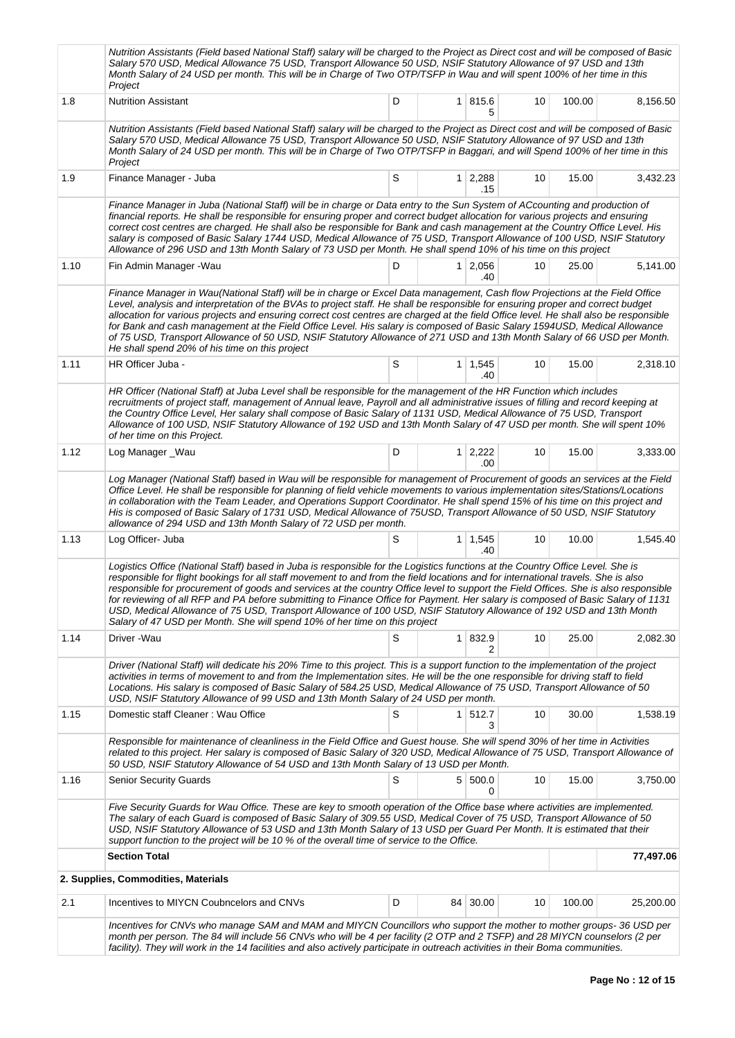|      | Nutrition Assistants (Field based National Staff) salary will be charged to the Project as Direct cost and will be composed of Basic<br>Salary 570 USD, Medical Allowance 75 USD, Transport Allowance 50 USD, NSIF Statutory Allowance of 97 USD and 13th<br>Month Salary of 24 USD per month. This will be in Charge of Two OTP/TSFP in Wau and will spent 100% of her time in this<br>Project                                                                                                                                                                                                                                                                                                                                                     |   |                       |    |        |           |
|------|-----------------------------------------------------------------------------------------------------------------------------------------------------------------------------------------------------------------------------------------------------------------------------------------------------------------------------------------------------------------------------------------------------------------------------------------------------------------------------------------------------------------------------------------------------------------------------------------------------------------------------------------------------------------------------------------------------------------------------------------------------|---|-----------------------|----|--------|-----------|
| 1.8  | <b>Nutrition Assistant</b>                                                                                                                                                                                                                                                                                                                                                                                                                                                                                                                                                                                                                                                                                                                          | D | 1 815.6<br>5          | 10 | 100.00 | 8,156.50  |
|      | Nutrition Assistants (Field based National Staff) salary will be charged to the Project as Direct cost and will be composed of Basic<br>Salary 570 USD, Medical Allowance 75 USD, Transport Allowance 50 USD, NSIF Statutory Allowance of 97 USD and 13th<br>Month Salary of 24 USD per month. This will be in Charge of Two OTP/TSFP in Baggari, and will Spend 100% of her time in this<br>Project                                                                                                                                                                                                                                                                                                                                                |   |                       |    |        |           |
| 1.9  | Finance Manager - Juba                                                                                                                                                                                                                                                                                                                                                                                                                                                                                                                                                                                                                                                                                                                              | S | $1 \mid 2,288$<br>.15 | 10 | 15.00  | 3,432.23  |
|      | Finance Manager in Juba (National Staff) will be in charge or Data entry to the Sun System of ACcounting and production of<br>financial reports. He shall be responsible for ensuring proper and correct budget allocation for various projects and ensuring<br>correct cost centres are charged. He shall also be responsible for Bank and cash management at the Country Office Level. His<br>salary is composed of Basic Salary 1744 USD, Medical Allowance of 75 USD, Transport Allowance of 100 USD, NSIF Statutory<br>Allowance of 296 USD and 13th Month Salary of 73 USD per Month. He shall spend 10% of his time on this project                                                                                                          |   |                       |    |        |           |
| 1.10 | Fin Admin Manager - Wau                                                                                                                                                                                                                                                                                                                                                                                                                                                                                                                                                                                                                                                                                                                             | D | $1 \mid 2,056$<br>.40 | 10 | 25.00  | 5,141.00  |
|      | Finance Manager in Wau(National Staff) will be in charge or Excel Data management, Cash flow Projections at the Field Office<br>Level, analysis and interpretation of the BVAs to project staff. He shall be responsible for ensuring proper and correct budget<br>allocation for various projects and ensuring correct cost centres are charged at the field Office level. He shall also be responsible<br>for Bank and cash management at the Field Office Level. His salary is composed of Basic Salary 1594USD, Medical Allowance<br>of 75 USD, Transport Allowance of 50 USD, NSIF Statutory Allowance of 271 USD and 13th Month Salary of 66 USD per Month.<br>He shall spend 20% of his time on this project                                 |   |                       |    |        |           |
| 1.11 | HR Officer Juba -                                                                                                                                                                                                                                                                                                                                                                                                                                                                                                                                                                                                                                                                                                                                   | S | $1 \mid 1,545$<br>.40 | 10 | 15.00  | 2,318.10  |
|      | HR Officer (National Staff) at Juba Level shall be responsible for the management of the HR Function which includes<br>recruitments of project staff, management of Annual leave, Payroll and all administrative issues of filling and record keeping at<br>the Country Office Level, Her salary shall compose of Basic Salary of 1131 USD, Medical Allowance of 75 USD, Transport<br>Allowance of 100 USD, NSIF Statutory Allowance of 192 USD and 13th Month Salary of 47 USD per month. She will spent 10%<br>of her time on this Project.                                                                                                                                                                                                       |   |                       |    |        |           |
| 1.12 | Log Manager_Wau                                                                                                                                                                                                                                                                                                                                                                                                                                                                                                                                                                                                                                                                                                                                     | D | $1 \mid 2,222$<br>.00 | 10 | 15.00  | 3,333.00  |
|      | Log Manager (National Staff) based in Wau will be responsible for management of Procurement of goods an services at the Field<br>Office Level. He shall be responsible for planning of field vehicle movements to various implementation sites/Stations/Locations<br>in collaboration with the Team Leader, and Operations Support Coordinator. He shall spend 15% of his time on this project and<br>His is composed of Basic Salary of 1731 USD, Medical Allowance of 75USD, Transport Allowance of 50 USD, NSIF Statutory<br>allowance of 294 USD and 13th Month Salary of 72 USD per month.                                                                                                                                                     |   |                       |    |        |           |
| 1.13 | Log Officer- Juba                                                                                                                                                                                                                                                                                                                                                                                                                                                                                                                                                                                                                                                                                                                                   | S | $1 \mid 1,545$<br>.40 | 10 | 10.00  | 1,545.40  |
|      | Logistics Office (National Staff) based in Juba is responsible for the Logistics functions at the Country Office Level. She is<br>responsible for flight bookings for all staff movement to and from the field locations and for international travels. She is also<br>responsible for procurement of goods and services at the country Office level to support the Field Offices. She is also responsible<br>for reviewing of all RFP and PA before submitting to Finance Office for Payment. Her salary is composed of Basic Salary of 1131<br>USD, Medical Allowance of 75 USD, Transport Allowance of 100 USD, NSIF Statutory Allowance of 192 USD and 13th Month<br>Salary of 47 USD per Month. She will spend 10% of her time on this project |   |                       |    |        |           |
| 1.14 | Driver -Wau                                                                                                                                                                                                                                                                                                                                                                                                                                                                                                                                                                                                                                                                                                                                         | S | 1 832.9<br>2          | 10 | 25.00  | 2,082.30  |
|      | Driver (National Staff) will dedicate his 20% Time to this project. This is a support function to the implementation of the project<br>activities in terms of movement to and from the Implementation sites. He will be the one responsible for driving staff to field<br>Locations. His salary is composed of Basic Salary of 584.25 USD, Medical Allowance of 75 USD, Transport Allowance of 50<br>USD, NSIF Statutory Allowance of 99 USD and 13th Month Salary of 24 USD per month.                                                                                                                                                                                                                                                             |   |                       |    |        |           |
| 1.15 | Domestic staff Cleaner: Wau Office                                                                                                                                                                                                                                                                                                                                                                                                                                                                                                                                                                                                                                                                                                                  | S | 1 512.7<br>З          | 10 | 30.00  | 1,538.19  |
|      | Responsible for maintenance of cleanliness in the Field Office and Guest house. She will spend 30% of her time in Activities<br>related to this project. Her salary is composed of Basic Salary of 320 USD, Medical Allowance of 75 USD, Transport Allowance of<br>50 USD, NSIF Statutory Allowance of 54 USD and 13th Month Salary of 13 USD per Month.                                                                                                                                                                                                                                                                                                                                                                                            |   |                       |    |        |           |
| 1.16 | <b>Senior Security Guards</b>                                                                                                                                                                                                                                                                                                                                                                                                                                                                                                                                                                                                                                                                                                                       | S | 5 500.0<br>0          | 10 | 15.00  | 3,750.00  |
|      | Five Security Guards for Wau Office. These are key to smooth operation of the Office base where activities are implemented.<br>The salary of each Guard is composed of Basic Salary of 309.55 USD, Medical Cover of 75 USD, Transport Allowance of 50<br>USD, NSIF Statutory Allowance of 53 USD and 13th Month Salary of 13 USD per Guard Per Month. It is estimated that their<br>support function to the project will be 10 % of the overall time of service to the Office.                                                                                                                                                                                                                                                                      |   |                       |    |        |           |
|      | <b>Section Total</b>                                                                                                                                                                                                                                                                                                                                                                                                                                                                                                                                                                                                                                                                                                                                |   |                       |    |        | 77,497.06 |
|      | 2. Supplies, Commodities, Materials                                                                                                                                                                                                                                                                                                                                                                                                                                                                                                                                                                                                                                                                                                                 |   |                       |    |        |           |
| 2.1  | Incentives to MIYCN Coubncelors and CNVs                                                                                                                                                                                                                                                                                                                                                                                                                                                                                                                                                                                                                                                                                                            | D | 84 30.00              | 10 | 100.00 | 25,200.00 |
|      | Incentives for CNVs who manage SAM and MAM and MIYCN Councillors who support the mother to mother groups- 36 USD per<br>month per person. The 84 will include 56 CNVs who will be 4 per facility (2 OTP and 2 TSFP) and 28 MIYCN counselors (2 per<br>facility). They will work in the 14 facilities and also actively participate in outreach activities in their Boma communities.                                                                                                                                                                                                                                                                                                                                                                |   |                       |    |        |           |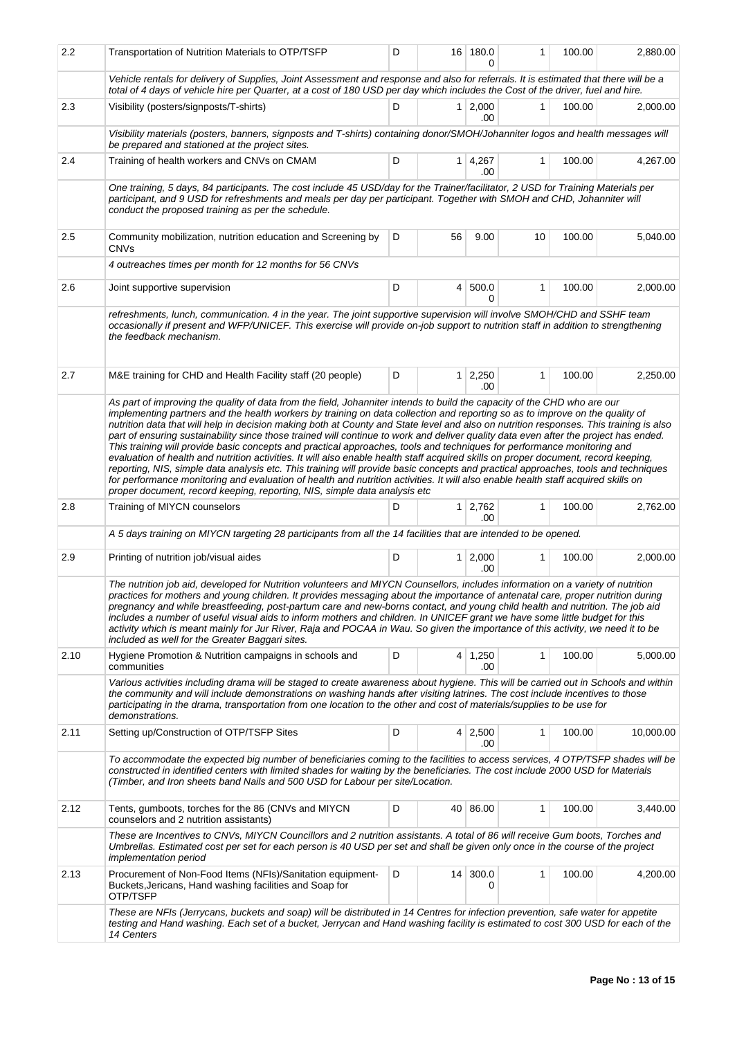| 2.2  | D<br>Transportation of Nutrition Materials to OTP/TSFP                                                                                                                                                                                                                                                                                                                                                                                                                                                                                                                                                                                                                                                                                                                                                                                                                                                   |   |    | 16 180.0              | 1            | 100.00 | 2,880.00  |
|------|----------------------------------------------------------------------------------------------------------------------------------------------------------------------------------------------------------------------------------------------------------------------------------------------------------------------------------------------------------------------------------------------------------------------------------------------------------------------------------------------------------------------------------------------------------------------------------------------------------------------------------------------------------------------------------------------------------------------------------------------------------------------------------------------------------------------------------------------------------------------------------------------------------|---|----|-----------------------|--------------|--------|-----------|
|      | Vehicle rentals for delivery of Supplies, Joint Assessment and response and also for referrals. It is estimated that there will be a<br>total of 4 days of vehicle hire per Quarter, at a cost of 180 USD per day which includes the Cost of the driver, fuel and hire.                                                                                                                                                                                                                                                                                                                                                                                                                                                                                                                                                                                                                                  |   |    |                       |              |        |           |
| 2.3  | Visibility (posters/signposts/T-shirts)                                                                                                                                                                                                                                                                                                                                                                                                                                                                                                                                                                                                                                                                                                                                                                                                                                                                  | D |    | $1 \mid 2,000$<br>.00 | 1            | 100.00 | 2,000.00  |
|      | Visibility materials (posters, banners, signposts and T-shirts) containing donor/SMOH/Johanniter logos and health messages will<br>be prepared and stationed at the project sites.                                                                                                                                                                                                                                                                                                                                                                                                                                                                                                                                                                                                                                                                                                                       |   |    |                       |              |        |           |
| 2.4  | Training of health workers and CNVs on CMAM                                                                                                                                                                                                                                                                                                                                                                                                                                                                                                                                                                                                                                                                                                                                                                                                                                                              | D |    | 1 4,267<br>.00        | $\mathbf{1}$ | 100.00 | 4,267.00  |
|      | One training, 5 days, 84 participants. The cost include 45 USD/day for the Trainer/facilitator, 2 USD for Training Materials per<br>participant, and 9 USD for refreshments and meals per day per participant. Together with SMOH and CHD, Johanniter will<br>conduct the proposed training as per the schedule.                                                                                                                                                                                                                                                                                                                                                                                                                                                                                                                                                                                         |   |    |                       |              |        |           |
| 2.5  | Community mobilization, nutrition education and Screening by<br><b>CNVs</b>                                                                                                                                                                                                                                                                                                                                                                                                                                                                                                                                                                                                                                                                                                                                                                                                                              | D | 56 | 9.00                  | 10           | 100.00 | 5,040.00  |
|      | 4 outreaches times per month for 12 months for 56 CNVs                                                                                                                                                                                                                                                                                                                                                                                                                                                                                                                                                                                                                                                                                                                                                                                                                                                   |   |    |                       |              |        |           |
| 2.6  | Joint supportive supervision                                                                                                                                                                                                                                                                                                                                                                                                                                                                                                                                                                                                                                                                                                                                                                                                                                                                             | D |    | 4 500.0<br>0          | 1            | 100.00 | 2,000.00  |
|      | refreshments, lunch, communication. 4 in the year. The joint supportive supervision will involve SMOH/CHD and SSHF team<br>occasionally if present and WFP/UNICEF. This exercise will provide on-job support to nutrition staff in addition to strengthening<br>the feedback mechanism.                                                                                                                                                                                                                                                                                                                                                                                                                                                                                                                                                                                                                  |   |    |                       |              |        |           |
| 2.7  | M&E training for CHD and Health Facility staff (20 people)                                                                                                                                                                                                                                                                                                                                                                                                                                                                                                                                                                                                                                                                                                                                                                                                                                               | D |    | $1 \mid 2,250$<br>.00 | 1            | 100.00 | 2,250.00  |
|      | nutrition data that will help in decision making both at County and State level and also on nutrition responses. This training is also<br>part of ensuring sustainability since those trained will continue to work and deliver quality data even after the project has ended.<br>This training will provide basic concepts and practical approaches, tools and techniques for performance monitoring and<br>evaluation of health and nutrition activities. It will also enable health staff acquired skills on proper document, record keeping,<br>reporting, NIS, simple data analysis etc. This training will provide basic concepts and practical approaches, tools and techniques<br>for performance monitoring and evaluation of health and nutrition activities. It will also enable health staff acquired skills on<br>proper document, record keeping, reporting, NIS, simple data analysis etc |   |    |                       |              |        |           |
| 2.8  | Training of MIYCN counselors                                                                                                                                                                                                                                                                                                                                                                                                                                                                                                                                                                                                                                                                                                                                                                                                                                                                             | D |    | $1 \mid 2,762$<br>.00 | 1            | 100.00 | 2,762.00  |
|      | A 5 days training on MIYCN targeting 28 participants from all the 14 facilities that are intended to be opened.                                                                                                                                                                                                                                                                                                                                                                                                                                                                                                                                                                                                                                                                                                                                                                                          |   |    |                       |              |        |           |
| 2.9  | Printing of nutrition job/visual aides                                                                                                                                                                                                                                                                                                                                                                                                                                                                                                                                                                                                                                                                                                                                                                                                                                                                   | D |    | $1 \mid 2,000$<br>.00 | 1            | 100.00 | 2,000.00  |
|      | The nutrition job aid, developed for Nutrition volunteers and MIYCN Counsellors, includes information on a variety of nutrition<br>practices for mothers and young children. It provides messaging about the importance of antenatal care, proper nutrition during<br>pregnancy and while breastfeeding, post-partum care and new-borns contact, and young child health and nutrition. The job aid<br>includes a number of useful visual aids to inform mothers and children. In UNICEF grant we have some little budget for this<br>activity which is meant mainly for Jur River, Raja and POCAA in Wau. So given the importance of this activity, we need it to be<br>included as well for the Greater Baggari sites.                                                                                                                                                                                  |   |    |                       |              |        |           |
| 2.10 | Hygiene Promotion & Nutrition campaigns in schools and<br>communities                                                                                                                                                                                                                                                                                                                                                                                                                                                                                                                                                                                                                                                                                                                                                                                                                                    | D |    | $4 \mid 1,250$<br>.00 | 1            | 100.00 | 5,000.00  |
|      | Various activities including drama will be staged to create awareness about hygiene. This will be carried out in Schools and within<br>the community and will include demonstrations on washing hands after visiting latrines. The cost include incentives to those<br>participating in the drama, transportation from one location to the other and cost of materials/supplies to be use for<br>demonstrations.                                                                                                                                                                                                                                                                                                                                                                                                                                                                                         |   |    |                       |              |        |           |
| 2.11 | Setting up/Construction of OTP/TSFP Sites                                                                                                                                                                                                                                                                                                                                                                                                                                                                                                                                                                                                                                                                                                                                                                                                                                                                | D |    | $4 \mid 2,500$<br>.00 | 1            | 100.00 | 10,000.00 |
|      | To accommodate the expected big number of beneficiaries coming to the facilities to access services, 4 OTP/TSFP shades will be<br>constructed in identified centers with limited shades for waiting by the beneficiaries. The cost include 2000 USD for Materials<br>(Timber, and Iron sheets band Nails and 500 USD for Labour per site/Location.                                                                                                                                                                                                                                                                                                                                                                                                                                                                                                                                                       |   |    |                       |              |        |           |
| 2.12 | Tents, gumboots, torches for the 86 (CNVs and MIYCN<br>counselors and 2 nutrition assistants)                                                                                                                                                                                                                                                                                                                                                                                                                                                                                                                                                                                                                                                                                                                                                                                                            | D |    | 40 86.00              | 1            | 100.00 | 3,440.00  |
|      | These are Incentives to CNVs, MIYCN Councillors and 2 nutrition assistants. A total of 86 will receive Gum boots, Torches and<br>Umbrellas. Estimated cost per set for each person is 40 USD per set and shall be given only once in the course of the project<br>implementation period                                                                                                                                                                                                                                                                                                                                                                                                                                                                                                                                                                                                                  |   |    |                       |              |        |           |
| 2.13 | Procurement of Non-Food Items (NFIs)/Sanitation equipment-<br>Buckets, Jericans, Hand washing facilities and Soap for<br>OTP/TSFP                                                                                                                                                                                                                                                                                                                                                                                                                                                                                                                                                                                                                                                                                                                                                                        | D |    | 14 300.0<br>0         | 1            | 100.00 | 4,200.00  |
|      | These are NFIs (Jerrycans, buckets and soap) will be distributed in 14 Centres for infection prevention, safe water for appetite<br>testing and Hand washing. Each set of a bucket, Jerrycan and Hand washing facility is estimated to cost 300 USD for each of the<br>14 Centers                                                                                                                                                                                                                                                                                                                                                                                                                                                                                                                                                                                                                        |   |    |                       |              |        |           |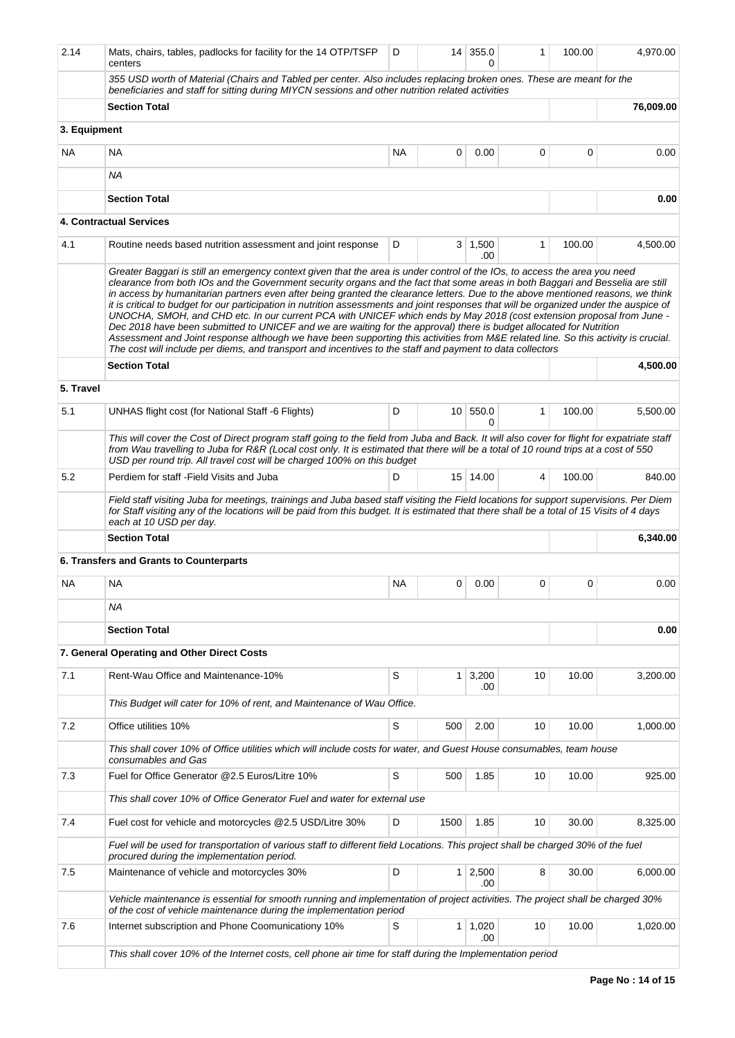| 2.14         | Mats, chairs, tables, padlocks for facility for the 14 OTP/TSFP<br>centers                                                                                                                                                                                                                                                                                                                                                                                                                                                                                                                                                                                                                                                                                                                                                                                                                                                                                                                                                                    | D         |      | $14$ 355.0<br>$\Omega$ | 1  | 100.00 | 4,970.00  |
|--------------|-----------------------------------------------------------------------------------------------------------------------------------------------------------------------------------------------------------------------------------------------------------------------------------------------------------------------------------------------------------------------------------------------------------------------------------------------------------------------------------------------------------------------------------------------------------------------------------------------------------------------------------------------------------------------------------------------------------------------------------------------------------------------------------------------------------------------------------------------------------------------------------------------------------------------------------------------------------------------------------------------------------------------------------------------|-----------|------|------------------------|----|--------|-----------|
|              | 355 USD worth of Material (Chairs and Tabled per center. Also includes replacing broken ones. These are meant for the<br>beneficiaries and staff for sitting during MIYCN sessions and other nutrition related activities                                                                                                                                                                                                                                                                                                                                                                                                                                                                                                                                                                                                                                                                                                                                                                                                                     |           |      |                        |    |        |           |
|              | <b>Section Total</b>                                                                                                                                                                                                                                                                                                                                                                                                                                                                                                                                                                                                                                                                                                                                                                                                                                                                                                                                                                                                                          |           |      |                        |    |        | 76,009.00 |
| 3. Equipment |                                                                                                                                                                                                                                                                                                                                                                                                                                                                                                                                                                                                                                                                                                                                                                                                                                                                                                                                                                                                                                               |           |      |                        |    |        |           |
| <b>NA</b>    | NA                                                                                                                                                                                                                                                                                                                                                                                                                                                                                                                                                                                                                                                                                                                                                                                                                                                                                                                                                                                                                                            | <b>NA</b> | 0    | 0.00                   | 0  | 0      | 0.00      |
|              | <b>NA</b>                                                                                                                                                                                                                                                                                                                                                                                                                                                                                                                                                                                                                                                                                                                                                                                                                                                                                                                                                                                                                                     |           |      |                        |    |        |           |
|              | <b>Section Total</b>                                                                                                                                                                                                                                                                                                                                                                                                                                                                                                                                                                                                                                                                                                                                                                                                                                                                                                                                                                                                                          |           |      |                        |    |        | 0.00      |
|              | <b>4. Contractual Services</b>                                                                                                                                                                                                                                                                                                                                                                                                                                                                                                                                                                                                                                                                                                                                                                                                                                                                                                                                                                                                                |           |      |                        |    |        |           |
| 4.1          | Routine needs based nutrition assessment and joint response                                                                                                                                                                                                                                                                                                                                                                                                                                                                                                                                                                                                                                                                                                                                                                                                                                                                                                                                                                                   | D         |      | $3 \mid 1,500$<br>.00  | 1  | 100.00 | 4,500.00  |
|              | Greater Baggari is still an emergency context given that the area is under control of the IOs, to access the area you need<br>clearance from both IOs and the Government security organs and the fact that some areas in both Baggari and Besselia are still<br>in access by humanitarian partners even after being granted the clearance letters. Due to the above mentioned reasons, we think<br>it is critical to budget for our participation in nutrition assessments and joint responses that will be organized under the auspice of<br>UNOCHA, SMOH, and CHD etc. In our current PCA with UNICEF which ends by May 2018 (cost extension proposal from June -<br>Dec 2018 have been submitted to UNICEF and we are waiting for the approval) there is budget allocated for Nutrition<br>Assessment and Joint response although we have been supporting this activities from M&E related line. So this activity is crucial.<br>The cost will include per diems, and transport and incentives to the staff and payment to data collectors |           |      |                        |    |        |           |
|              | <b>Section Total</b>                                                                                                                                                                                                                                                                                                                                                                                                                                                                                                                                                                                                                                                                                                                                                                                                                                                                                                                                                                                                                          |           |      |                        |    |        | 4,500.00  |
| 5. Travel    |                                                                                                                                                                                                                                                                                                                                                                                                                                                                                                                                                                                                                                                                                                                                                                                                                                                                                                                                                                                                                                               |           |      |                        |    |        |           |
| 5.1          | UNHAS flight cost (for National Staff -6 Flights)                                                                                                                                                                                                                                                                                                                                                                                                                                                                                                                                                                                                                                                                                                                                                                                                                                                                                                                                                                                             | D         |      | 10 550.0<br>0          | 1  | 100.00 | 5,500.00  |
|              | This will cover the Cost of Direct program staff going to the field from Juba and Back. It will also cover for flight for expatriate staff<br>from Wau travelling to Juba for R&R (Local cost only. It is estimated that there will be a total of 10 round trips at a cost of 550<br>USD per round trip. All travel cost will be charged 100% on this budget                                                                                                                                                                                                                                                                                                                                                                                                                                                                                                                                                                                                                                                                                  |           |      |                        |    |        |           |
| 5.2          | Perdiem for staff - Field Visits and Juba                                                                                                                                                                                                                                                                                                                                                                                                                                                                                                                                                                                                                                                                                                                                                                                                                                                                                                                                                                                                     | D         |      | 15 14.00               | 4  | 100.00 | 840.00    |
|              | Field staff visiting Juba for meetings, trainings and Juba based staff visiting the Field locations for support supervisions. Per Diem<br>for Staff visiting any of the locations will be paid from this budget. It is estimated that there shall be a total of 15 Visits of 4 days<br>each at 10 USD per day.                                                                                                                                                                                                                                                                                                                                                                                                                                                                                                                                                                                                                                                                                                                                |           |      |                        |    |        |           |
|              | <b>Section Total</b>                                                                                                                                                                                                                                                                                                                                                                                                                                                                                                                                                                                                                                                                                                                                                                                                                                                                                                                                                                                                                          |           |      |                        |    |        | 6,340.00  |
|              | 6. Transfers and Grants to Counterparts                                                                                                                                                                                                                                                                                                                                                                                                                                                                                                                                                                                                                                                                                                                                                                                                                                                                                                                                                                                                       |           |      |                        |    |        |           |
| NA           | <b>NA</b>                                                                                                                                                                                                                                                                                                                                                                                                                                                                                                                                                                                                                                                                                                                                                                                                                                                                                                                                                                                                                                     | NA        | 0    | 0.00                   | 0  | 0      | 0.00      |
|              | ΝA                                                                                                                                                                                                                                                                                                                                                                                                                                                                                                                                                                                                                                                                                                                                                                                                                                                                                                                                                                                                                                            |           |      |                        |    |        |           |
|              | <b>Section Total</b>                                                                                                                                                                                                                                                                                                                                                                                                                                                                                                                                                                                                                                                                                                                                                                                                                                                                                                                                                                                                                          |           |      |                        |    |        | 0.00      |
|              | 7. General Operating and Other Direct Costs                                                                                                                                                                                                                                                                                                                                                                                                                                                                                                                                                                                                                                                                                                                                                                                                                                                                                                                                                                                                   |           |      |                        |    |        |           |
| 7.1          | Rent-Wau Office and Maintenance-10%                                                                                                                                                                                                                                                                                                                                                                                                                                                                                                                                                                                                                                                                                                                                                                                                                                                                                                                                                                                                           | S         | 1    | 3,200<br>.00           | 10 | 10.00  | 3,200.00  |
|              | This Budget will cater for 10% of rent, and Maintenance of Wau Office.                                                                                                                                                                                                                                                                                                                                                                                                                                                                                                                                                                                                                                                                                                                                                                                                                                                                                                                                                                        |           |      |                        |    |        |           |
| 7.2          | Office utilities 10%                                                                                                                                                                                                                                                                                                                                                                                                                                                                                                                                                                                                                                                                                                                                                                                                                                                                                                                                                                                                                          | S         | 500  | 2.00                   | 10 | 10.00  | 1,000.00  |
|              | This shall cover 10% of Office utilities which will include costs for water, and Guest House consumables, team house                                                                                                                                                                                                                                                                                                                                                                                                                                                                                                                                                                                                                                                                                                                                                                                                                                                                                                                          |           |      |                        |    |        |           |
| 7.3          | consumables and Gas<br>Fuel for Office Generator @2.5 Euros/Litre 10%                                                                                                                                                                                                                                                                                                                                                                                                                                                                                                                                                                                                                                                                                                                                                                                                                                                                                                                                                                         | S         | 500  | 1.85                   | 10 | 10.00  | 925.00    |
|              | This shall cover 10% of Office Generator Fuel and water for external use                                                                                                                                                                                                                                                                                                                                                                                                                                                                                                                                                                                                                                                                                                                                                                                                                                                                                                                                                                      |           |      |                        |    |        |           |
| 7.4          | Fuel cost for vehicle and motorcycles @2.5 USD/Litre 30%                                                                                                                                                                                                                                                                                                                                                                                                                                                                                                                                                                                                                                                                                                                                                                                                                                                                                                                                                                                      | D         | 1500 | 1.85                   | 10 | 30.00  | 8,325.00  |
|              | Fuel will be used for transportation of various staff to different field Locations. This project shall be charged 30% of the fuel                                                                                                                                                                                                                                                                                                                                                                                                                                                                                                                                                                                                                                                                                                                                                                                                                                                                                                             |           |      |                        |    |        |           |
| 7.5          | procured during the implementation period.<br>Maintenance of vehicle and motorcycles 30%                                                                                                                                                                                                                                                                                                                                                                                                                                                                                                                                                                                                                                                                                                                                                                                                                                                                                                                                                      | D         | 1    | 2,500                  | 8  | 30.00  | 6,000.00  |
|              | Vehicle maintenance is essential for smooth running and implementation of project activities. The project shall be charged 30%                                                                                                                                                                                                                                                                                                                                                                                                                                                                                                                                                                                                                                                                                                                                                                                                                                                                                                                |           |      | .00                    |    |        |           |
|              | of the cost of vehicle maintenance during the implementation period                                                                                                                                                                                                                                                                                                                                                                                                                                                                                                                                                                                                                                                                                                                                                                                                                                                                                                                                                                           |           |      |                        |    |        |           |
| 7.6          | Internet subscription and Phone Coomunicationy 10%                                                                                                                                                                                                                                                                                                                                                                                                                                                                                                                                                                                                                                                                                                                                                                                                                                                                                                                                                                                            | S         | 1    | 1,020<br>.00           | 10 | 10.00  | 1,020.00  |
|              | This shall cover 10% of the Internet costs, cell phone air time for staff during the Implementation period                                                                                                                                                                                                                                                                                                                                                                                                                                                                                                                                                                                                                                                                                                                                                                                                                                                                                                                                    |           |      |                        |    |        |           |